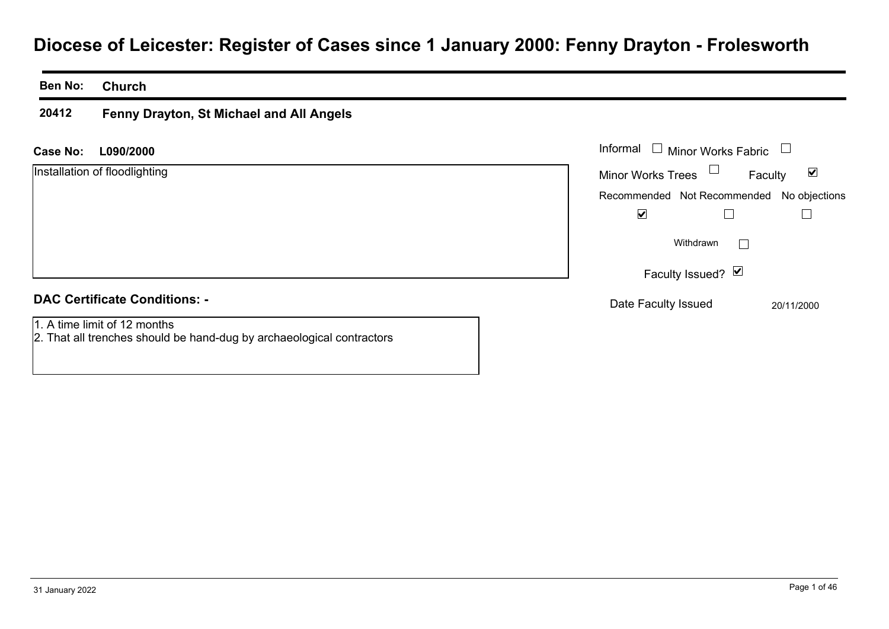# **Diocese of Leicester: Register of Cases since 1 January 2000: Fenny Drayton - Frolesworth**

#### **Ben No:Church**

#### **20412Fenny Drayton, St Michael and All Angels**

**L090/2000Case No:** Informal

Installation of floodlighting

| Informal                                  | $\Box$ Minor Works Fabric |         |            |
|-------------------------------------------|---------------------------|---------|------------|
| <b>Minor Works Trees</b>                  |                           | Faculty | M          |
| Recommended Not Recommended No objections |                           |         |            |
|                                           |                           |         |            |
|                                           | Withdrawn                 |         |            |
|                                           | Faculty Issued? Ø         |         |            |
| Date Faculty Issued                       |                           |         | 20/11/2000 |

## **DAC Certificate Conditions: -**

1. A time limit of 12 months

2. That all trenches should be hand-dug by archaeological contractors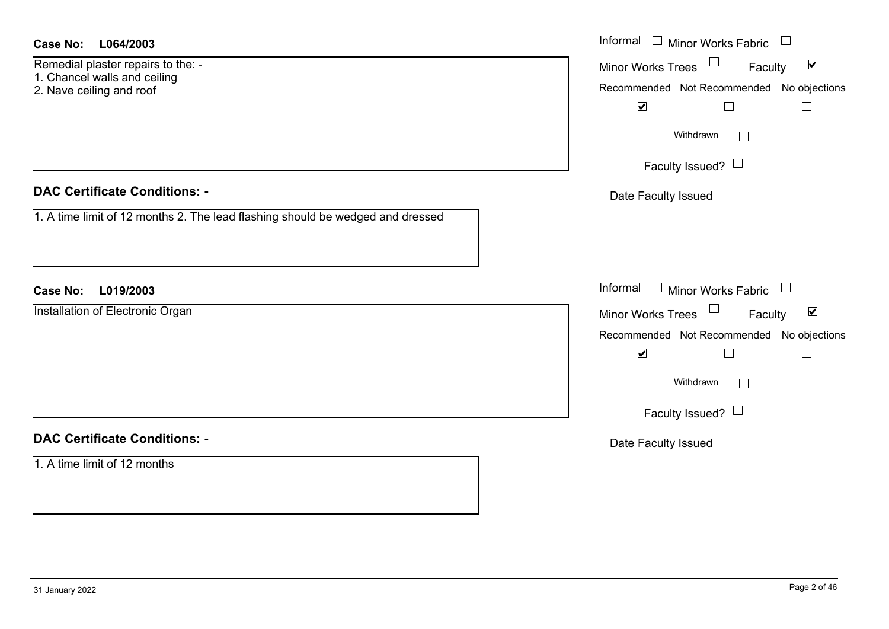| <b>Case No:</b><br>L064/2003                                                   | Informal $\Box$<br>Minor Works Fabric                       |
|--------------------------------------------------------------------------------|-------------------------------------------------------------|
| Remedial plaster repairs to the: -<br>1. Chancel walls and ceiling             | $\blacktriangledown$<br>Minor Works Trees<br>Faculty        |
| 2. Nave ceiling and roof                                                       | Recommended Not Recommended No objections                   |
|                                                                                | $\blacktriangledown$                                        |
|                                                                                | Withdrawn                                                   |
|                                                                                | Faculty Issued? $\Box$                                      |
| <b>DAC Certificate Conditions: -</b>                                           | Date Faculty Issued                                         |
| 1. A time limit of 12 months 2. The lead flashing should be wedged and dressed |                                                             |
| <b>Case No:</b><br>L019/2003                                                   | Informal $\square$<br>Minor Works Fabric $\Box$             |
| Installation of Electronic Organ                                               | $\blacktriangledown$<br><b>Minor Works Trees</b><br>Faculty |
|                                                                                | Recommended Not Recommended No objections                   |
|                                                                                | $\blacktriangledown$                                        |
|                                                                                | Withdrawn                                                   |
|                                                                                | Faculty Issued? $\Box$                                      |
| <b>DAC Certificate Conditions: -</b>                                           | Date Faculty Issued                                         |
| 1. A time limit of 12 months                                                   |                                                             |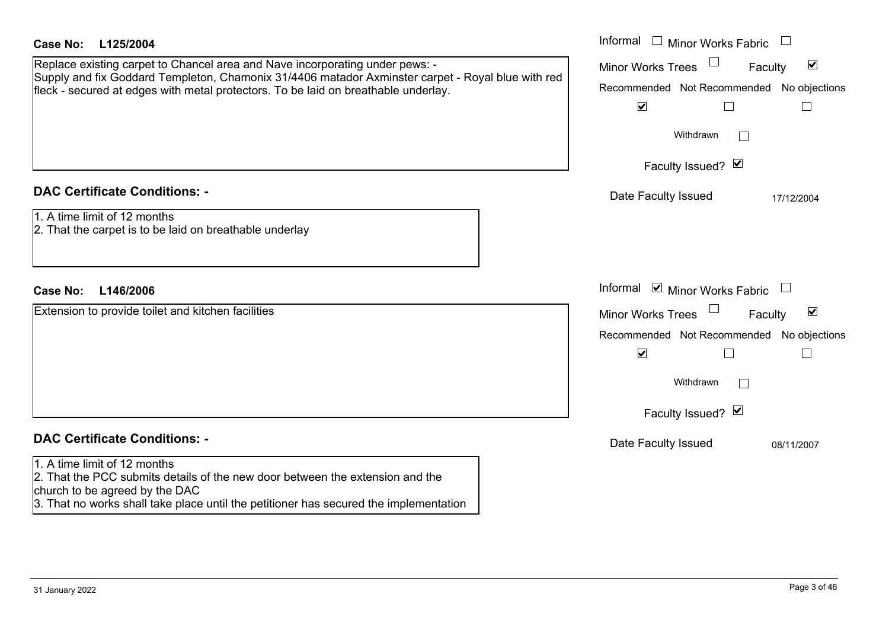| <b>Case No:</b><br>L125/2004                                                                                                                                                                                                                                            | Informal $\Box$ Minor Works Fabric $\Box$                                                                                                                                                  |
|-------------------------------------------------------------------------------------------------------------------------------------------------------------------------------------------------------------------------------------------------------------------------|--------------------------------------------------------------------------------------------------------------------------------------------------------------------------------------------|
| Replace existing carpet to Chancel area and Nave incorporating under pews: -<br>Supply and fix Goddard Templeton, Chamonix 31/4406 matador Axminster carpet - Royal blue with red<br>fleck - secured at edges with metal protectors. To be laid on breathable underlay. | $\blacktriangledown$<br><b>Minor Works Trees</b><br>Faculty<br>No objections<br>Recommended Not Recommended<br>$\blacktriangledown$<br>L<br>$\Box$                                         |
|                                                                                                                                                                                                                                                                         | Withdrawn<br>Faculty Issued? Ø                                                                                                                                                             |
| <b>DAC Certificate Conditions: -</b><br>1. A time limit of 12 months<br>2. That the carpet is to be laid on breathable underlay                                                                                                                                         | Date Faculty Issued<br>17/12/2004                                                                                                                                                          |
| <b>Case No:</b><br>L146/2006                                                                                                                                                                                                                                            | Informal ☑ Minor Works Fabric                                                                                                                                                              |
| Extension to provide toilet and kitchen facilities                                                                                                                                                                                                                      | $\blacktriangledown$<br><b>Minor Works Trees</b><br>Faculty<br>Recommended Not Recommended<br>No objections<br>$\blacktriangledown$<br>Г<br>$\mathbf{I}$<br>Withdrawn<br>Faculty Issued? Ø |
| <b>DAC Certificate Conditions: -</b>                                                                                                                                                                                                                                    | Date Faculty Issued<br>08/11/2007                                                                                                                                                          |
| 1. A time limit of 12 months<br>2. That the PCC submits details of the new door between the extension and the<br>church to be agreed by the DAC<br>3. That no works shall take place until the petitioner has secured the implementation                                |                                                                                                                                                                                            |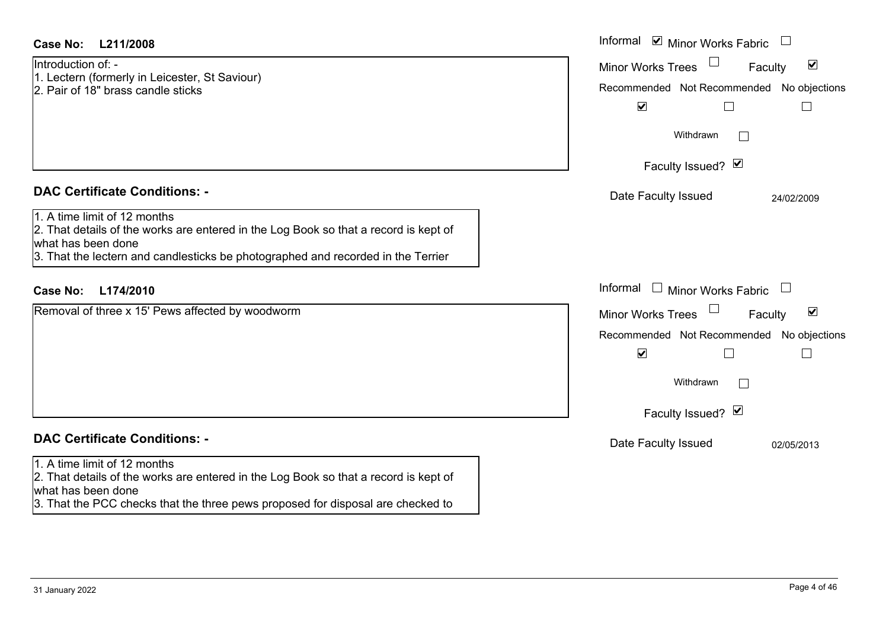| Case No:<br>L211/2008                                                                                                                                                                                                                                                  | Informal <b>v</b> Minor Works Fabric                                                                                                                                         |  |
|------------------------------------------------------------------------------------------------------------------------------------------------------------------------------------------------------------------------------------------------------------------------|------------------------------------------------------------------------------------------------------------------------------------------------------------------------------|--|
| Introduction of: -<br>1. Lectern (formerly in Leicester, St Saviour)<br>2. Pair of 18" brass candle sticks                                                                                                                                                             | $\blacktriangledown$<br><b>Minor Works Trees</b><br>Faculty<br>Recommended Not Recommended No objections<br>$\blacktriangledown$<br>Withdrawn<br>$\Box$                      |  |
|                                                                                                                                                                                                                                                                        | Faculty Issued? Ø                                                                                                                                                            |  |
| <b>DAC Certificate Conditions: -</b><br>1. A time limit of 12 months<br>2. That details of the works are entered in the Log Book so that a record is kept of<br>what has been done<br>3. That the lectern and candlesticks be photographed and recorded in the Terrier | Date Faculty Issued<br>24/02/2009                                                                                                                                            |  |
| <b>Case No:</b><br>L174/2010                                                                                                                                                                                                                                           | Informal<br>$\Box$<br>Minor Works Fabric<br>$\Box$                                                                                                                           |  |
| Removal of three x 15' Pews affected by woodworm                                                                                                                                                                                                                       | $\blacktriangledown$<br><b>Minor Works Trees</b><br>Faculty<br>Recommended Not Recommended No objections<br>$\blacktriangledown$<br>Withdrawn<br>$\Box$<br>Faculty Issued? Ø |  |
| <b>DAC Certificate Conditions: -</b>                                                                                                                                                                                                                                   | Date Faculty Issued<br>02/05/2013                                                                                                                                            |  |
| 1. A time limit of 12 months<br>2. That details of the works are entered in the Log Book so that a record is kept of<br>what has been done<br>3. That the PCC checks that the three pews proposed for disposal are checked to                                          |                                                                                                                                                                              |  |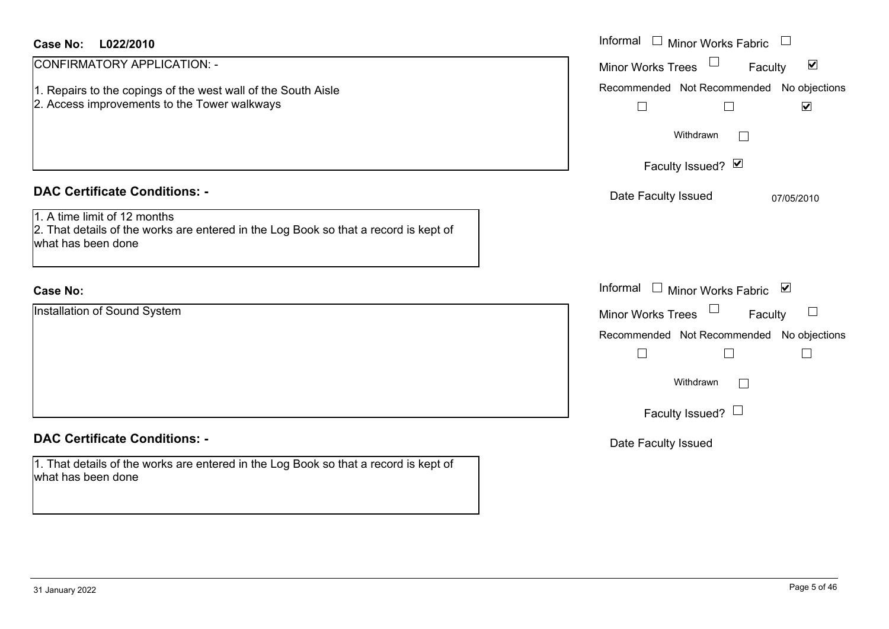| <b>Case No:</b><br>L022/2010                                                                                                               | Informal<br>$\sim 10^{-1}$<br><b>Minor Works Fabric</b>                               |
|--------------------------------------------------------------------------------------------------------------------------------------------|---------------------------------------------------------------------------------------|
| CONFIRMATORY APPLICATION: -                                                                                                                | $\blacktriangledown$<br><b>Minor Works Trees</b><br>Faculty                           |
| Repairs to the copings of the west wall of the South Aisle<br>2. Access improvements to the Tower walkways                                 | Recommended Not Recommended No objections<br>$\blacktriangledown$<br>$\Box$<br>$\Box$ |
|                                                                                                                                            | Withdrawn<br>$\sim$                                                                   |
|                                                                                                                                            | Faculty Issued? $\vee$                                                                |
| <b>DAC Certificate Conditions: -</b>                                                                                                       | Date Faculty Issued<br>07/05/2010                                                     |
| 1. A time limit of 12 months<br>2. That details of the works are entered in the Log Book so that a record is kept of<br>what has been done |                                                                                       |
| <b>Case No:</b>                                                                                                                            | Informal<br>$\perp$<br>Minor Works Fabric ⊠                                           |
| Installation of Sound System                                                                                                               | ⊔<br><b>Minor Works Trees</b><br>Faculty                                              |
|                                                                                                                                            | Recommended Not Recommended No objections<br>$\Box$                                   |
|                                                                                                                                            | Withdrawn<br>$\mathbb{R}^n$                                                           |
|                                                                                                                                            | Faculty Issued? $\Box$                                                                |
| <b>DAC Certificate Conditions: -</b>                                                                                                       | Date Faculty Issued                                                                   |
| 1. That details of the works are entered in the Log Book so that a record is kept of<br>what has been done                                 |                                                                                       |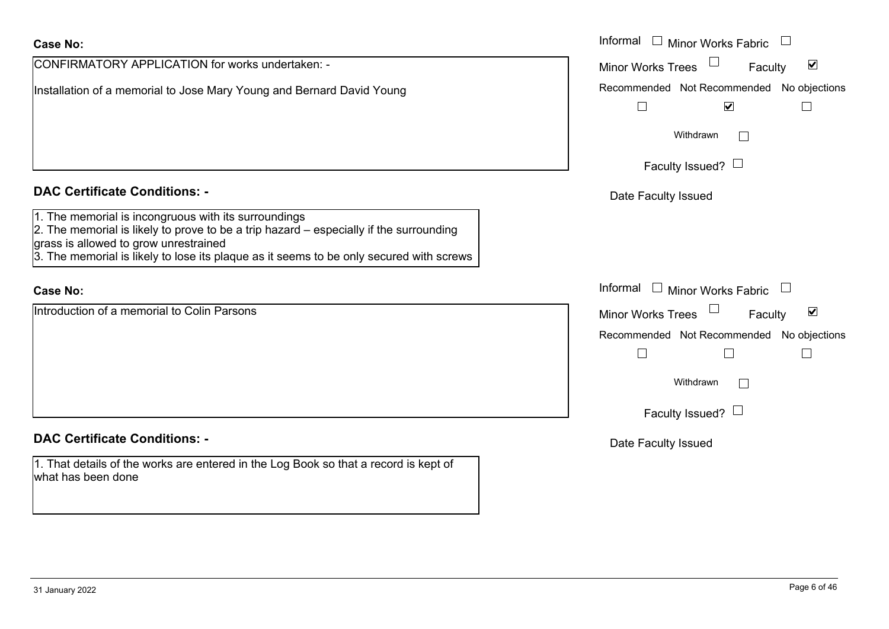| <b>Case No:</b>                                                                                                                                                                                                                                                                      | Informal □ Minor Works Fabric                                               |
|--------------------------------------------------------------------------------------------------------------------------------------------------------------------------------------------------------------------------------------------------------------------------------------|-----------------------------------------------------------------------------|
| CONFIRMATORY APPLICATION for works undertaken: -                                                                                                                                                                                                                                     | $\blacktriangledown$<br><b>Minor Works Trees</b><br>Faculty                 |
| Installation of a memorial to Jose Mary Young and Bernard David Young                                                                                                                                                                                                                | Recommended Not Recommended No objections<br>$\blacktriangledown$<br>$\Box$ |
|                                                                                                                                                                                                                                                                                      | Withdrawn<br>$\mathbb{R}^n$                                                 |
|                                                                                                                                                                                                                                                                                      | Faculty Issued? $\Box$                                                      |
| <b>DAC Certificate Conditions: -</b>                                                                                                                                                                                                                                                 | Date Faculty Issued                                                         |
| 1. The memorial is incongruous with its surroundings<br>2. The memorial is likely to prove to be a trip hazard - especially if the surrounding<br>grass is allowed to grow unrestrained<br>$3.$ The memorial is likely to lose its plaque as it seems to be only secured with screws |                                                                             |
| <b>Case No:</b>                                                                                                                                                                                                                                                                      | Informal $\Box$ Minor Works Fabric                                          |
| Introduction of a memorial to Colin Parsons                                                                                                                                                                                                                                          | $\blacktriangledown$<br>Minor Works Trees<br>Faculty                        |
|                                                                                                                                                                                                                                                                                      | Recommended Not Recommended No objections<br>$\Box$<br>$\vert \ \ \vert$    |
|                                                                                                                                                                                                                                                                                      | Withdrawn<br>$\mathbf{I}$                                                   |
|                                                                                                                                                                                                                                                                                      | Faculty Issued? $\Box$                                                      |
| <b>DAC Certificate Conditions: -</b>                                                                                                                                                                                                                                                 | Date Faculty Issued                                                         |
| 1. That details of the works are entered in the Log Book so that a record is kept of<br>what has been done                                                                                                                                                                           |                                                                             |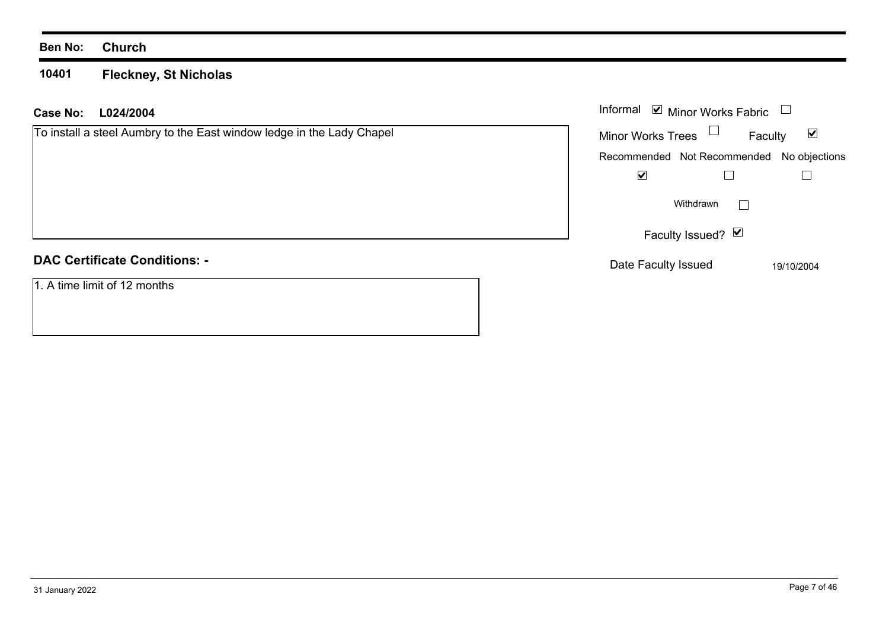**10401 Fleckney, St Nicholas**

## **L024/2004 Case No:** Informal

| To install a steel Aumbry to the East window ledge in the Lady Chapel |  |  |  |
|-----------------------------------------------------------------------|--|--|--|
|                                                                       |  |  |  |
|                                                                       |  |  |  |
|                                                                       |  |  |  |
|                                                                       |  |  |  |

| Informal                 | $\triangleright$ Minor Works Fabric       |            |
|--------------------------|-------------------------------------------|------------|
| <b>Minor Works Trees</b> | Faculty                                   | V          |
|                          | Recommended Not Recommended No objections |            |
| V                        |                                           |            |
|                          | Withdrawn                                 |            |
|                          | Faculty Issued? Ø                         |            |
| Date Faculty Issued      |                                           | 19/10/2004 |

# **DAC Certificate Conditions: -**

1. A time limit of 12 months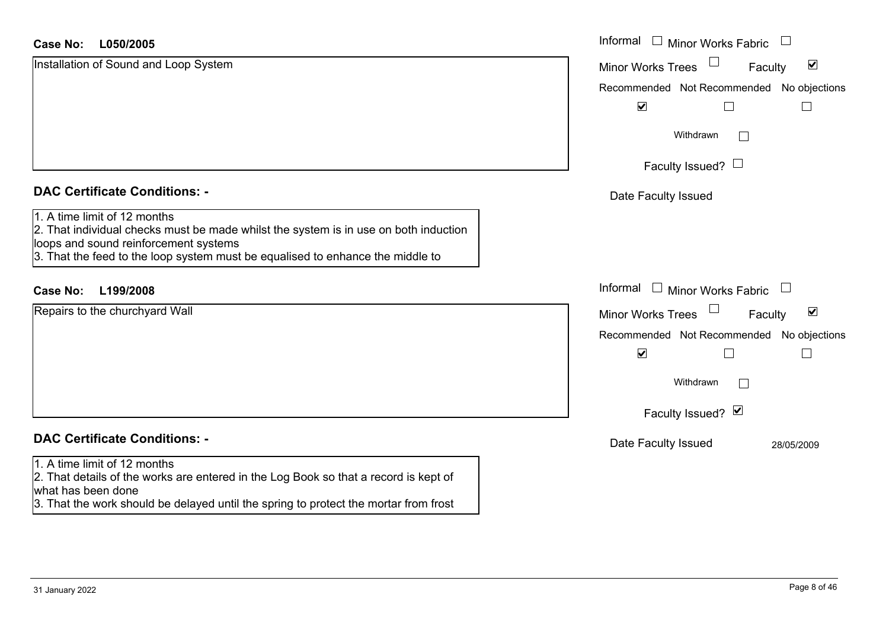| <b>Case No:</b><br>L050/2005                                                                                                                                                                                                                    | Informal<br>$\Box$ Minor Works Fabric                       |
|-------------------------------------------------------------------------------------------------------------------------------------------------------------------------------------------------------------------------------------------------|-------------------------------------------------------------|
| Installation of Sound and Loop System                                                                                                                                                                                                           | $\blacktriangledown$<br><b>Minor Works Trees</b><br>Faculty |
|                                                                                                                                                                                                                                                 | Recommended Not Recommended No objections                   |
|                                                                                                                                                                                                                                                 | $\blacktriangledown$                                        |
|                                                                                                                                                                                                                                                 | Withdrawn<br>$\Box$                                         |
|                                                                                                                                                                                                                                                 | Faculty Issued? $\Box$                                      |
| <b>DAC Certificate Conditions: -</b>                                                                                                                                                                                                            | Date Faculty Issued                                         |
| 1. A time limit of 12 months<br>2. That individual checks must be made whilst the system is in use on both induction<br>loops and sound reinforcement systems<br>3. That the feed to the loop system must be equalised to enhance the middle to |                                                             |
| <b>Case No:</b><br>L199/2008                                                                                                                                                                                                                    | Informal<br>$\Box$ Minor Works Fabric                       |
| Repairs to the churchyard Wall                                                                                                                                                                                                                  | $\blacktriangledown$<br><b>Minor Works Trees</b><br>Faculty |
|                                                                                                                                                                                                                                                 | Recommended Not Recommended No objections                   |
|                                                                                                                                                                                                                                                 | $\blacktriangledown$                                        |
|                                                                                                                                                                                                                                                 | Withdrawn<br>$\Box$                                         |
|                                                                                                                                                                                                                                                 | Faculty Issued? Ø                                           |
| <b>DAC Certificate Conditions: -</b>                                                                                                                                                                                                            | Date Faculty Issued<br>28/05/2009                           |
| 1. A time limit of 12 months<br>2. That details of the works are entered in the Log Book so that a record is kept of<br>what has been done                                                                                                      |                                                             |
| 3. That the work should be delayed until the spring to protect the mortar from frost                                                                                                                                                            |                                                             |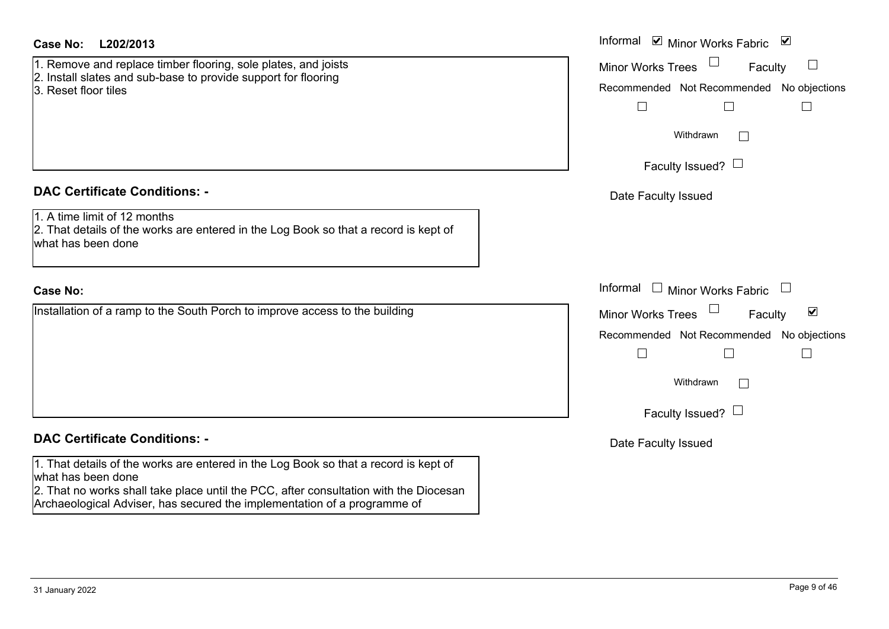| Case No:<br>L202/2013                                                                                                                                                                                                                                                           | Informal <b>V</b> Minor Works Fabric <b>V</b>                                                                                                                                             |
|---------------------------------------------------------------------------------------------------------------------------------------------------------------------------------------------------------------------------------------------------------------------------------|-------------------------------------------------------------------------------------------------------------------------------------------------------------------------------------------|
| 1. Remove and replace timber flooring, sole plates, and joists<br>2. Install slates and sub-base to provide support for flooring<br>3. Reset floor tiles                                                                                                                        | <b>Minor Works Trees</b><br>Faculty<br>Recommended Not Recommended No objections<br>$\mathcal{L}_{\mathcal{A}}$<br>Withdrawn<br>Faculty Issued? $\Box$                                    |
| <b>DAC Certificate Conditions: -</b><br>1. A time limit of 12 months<br>2. That details of the works are entered in the Log Book so that a record is kept of<br>what has been done                                                                                              | Date Faculty Issued                                                                                                                                                                       |
| <b>Case No:</b>                                                                                                                                                                                                                                                                 | Informal □ Minor Works Fabric                                                                                                                                                             |
| Installation of a ramp to the South Porch to improve access to the building                                                                                                                                                                                                     | $\blacktriangledown$<br><b>Minor Works Trees</b><br>Faculty<br>Recommended Not Recommended<br>No objections<br>$\mathbb{R}^n$<br>L<br>$\mathbf{L}$<br>Withdrawn<br>Faculty Issued? $\Box$ |
| <b>DAC Certificate Conditions: -</b>                                                                                                                                                                                                                                            | Date Faculty Issued                                                                                                                                                                       |
| 1. That details of the works are entered in the Log Book so that a record is kept of<br>what has been done<br>2. That no works shall take place until the PCC, after consultation with the Diocesan<br>Archaeological Adviser, has secured the implementation of a programme of |                                                                                                                                                                                           |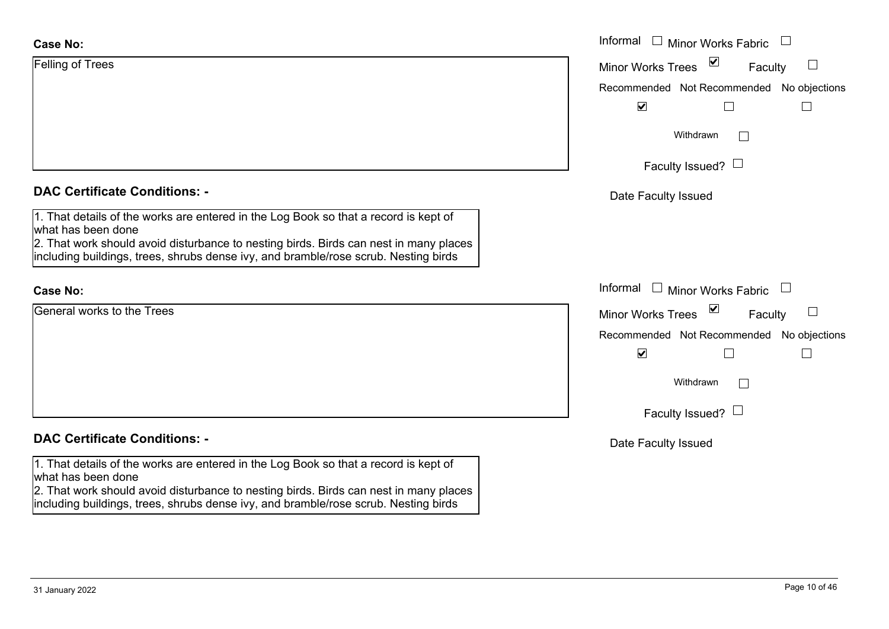| <b>Case No:</b>                                                                                                                                                                                     | Informal $\square$<br><b>Minor Works Fabric</b>                                |
|-----------------------------------------------------------------------------------------------------------------------------------------------------------------------------------------------------|--------------------------------------------------------------------------------|
| <b>Felling of Trees</b>                                                                                                                                                                             | ⊻<br><b>Minor Works Trees</b><br>$\Box$<br>Faculty                             |
|                                                                                                                                                                                                     | Recommended Not Recommended No objections                                      |
|                                                                                                                                                                                                     | $\blacktriangledown$<br>$\Box$                                                 |
|                                                                                                                                                                                                     | Withdrawn<br>$\mathbf{I}$                                                      |
|                                                                                                                                                                                                     | Faculty Issued? $\Box$                                                         |
| <b>DAC Certificate Conditions: -</b>                                                                                                                                                                | Date Faculty Issued                                                            |
| 1. That details of the works are entered in the Log Book so that a record is kept of<br>what has been done                                                                                          |                                                                                |
| 2. That work should avoid disturbance to nesting birds. Birds can nest in many places<br>including buildings, trees, shrubs dense ivy, and bramble/rose scrub. Nesting birds                        |                                                                                |
| <b>Case No:</b>                                                                                                                                                                                     | Informal<br>$\begin{array}{c} \hline \end{array}$<br><b>Minor Works Fabric</b> |
| General works to the Trees                                                                                                                                                                          | $\overline{\mathbf{v}}$<br>Minor Works Trees<br>Faculty<br>$\Box$              |
|                                                                                                                                                                                                     | Recommended Not Recommended No objections                                      |
|                                                                                                                                                                                                     | $\blacktriangledown$<br>$\Box$                                                 |
|                                                                                                                                                                                                     | Withdrawn<br>$\Box$                                                            |
|                                                                                                                                                                                                     | Faculty Issued? $\Box$                                                         |
| <b>DAC Certificate Conditions: -</b>                                                                                                                                                                | Date Faculty Issued                                                            |
| 1. That details of the works are entered in the Log Book so that a record is kept of<br>what has been done<br>2. That work should avoid disturbance to nesting birds. Birds can nest in many places |                                                                                |

including buildings, trees, shrubs dense ivy, and bramble/rose scrub. Nesting birds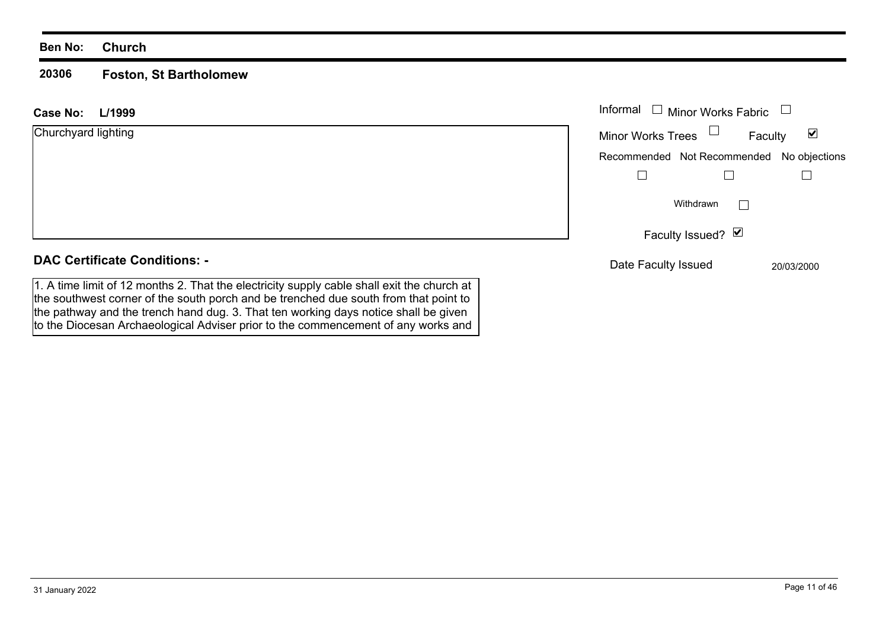#### **20306Foston, St Bartholomew**

the southwest corner of the south porch and be trenched due south from that point to the pathway and the trench hand dug. 3. That ten working days notice shall be given to the Diocesan Archaeological Adviser prior to the commencement of any works and

| L/1999<br>Case No:                                                                         | Informal $\Box$<br><b>Minor Works Fabric</b> |                                 |
|--------------------------------------------------------------------------------------------|----------------------------------------------|---------------------------------|
| Churchyard lighting                                                                        | Minor Works Trees $\Box$                     | $\blacktriangledown$<br>Faculty |
|                                                                                            | Recommended Not Recommended No objections    |                                 |
|                                                                                            |                                              |                                 |
|                                                                                            | Withdrawn<br>$\blacksquare$                  |                                 |
|                                                                                            | Faculty Issued? Ø                            |                                 |
| <b>DAC Certificate Conditions: -</b>                                                       | Date Faculty Issued                          | 20/03/2000                      |
| 1. A time limit of 12 months 2. That the electricity supply cable shall exit the church at |                                              |                                 |

31 January 2022 Page 11 of 46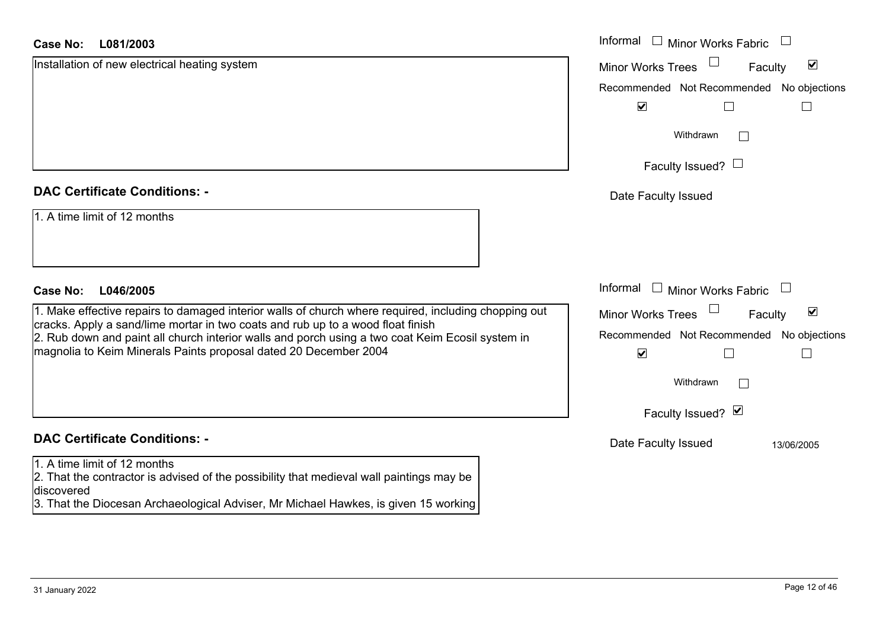#### **L081/2003Case No:**

| <b>Case No:</b><br>L081/2003                                                                                                                                                                                                                                                                                                                                                                  | Informal □ Minor Works Fabric                                                                            |
|-----------------------------------------------------------------------------------------------------------------------------------------------------------------------------------------------------------------------------------------------------------------------------------------------------------------------------------------------------------------------------------------------|----------------------------------------------------------------------------------------------------------|
| Installation of new electrical heating system                                                                                                                                                                                                                                                                                                                                                 | $\blacktriangledown$<br><b>Minor Works Trees</b><br>Faculty                                              |
|                                                                                                                                                                                                                                                                                                                                                                                               | Recommended Not Recommended No objections                                                                |
|                                                                                                                                                                                                                                                                                                                                                                                               | $\blacktriangledown$                                                                                     |
|                                                                                                                                                                                                                                                                                                                                                                                               | Withdrawn                                                                                                |
|                                                                                                                                                                                                                                                                                                                                                                                               | Faculty Issued? $\Box$                                                                                   |
| <b>DAC Certificate Conditions: -</b>                                                                                                                                                                                                                                                                                                                                                          | Date Faculty Issued                                                                                      |
| 1. A time limit of 12 months                                                                                                                                                                                                                                                                                                                                                                  |                                                                                                          |
| <b>Case No:</b><br>L046/2005                                                                                                                                                                                                                                                                                                                                                                  | Informal □ Minor Works Fabric                                                                            |
| 1. Make effective repairs to damaged interior walls of church where required, including chopping out<br>cracks. Apply a sand/lime mortar in two coats and rub up to a wood float finish<br>2. Rub down and paint all church interior walls and porch using a two coat Keim Ecosil system in                                                                                                   | $\blacktriangledown$<br><b>Minor Works Trees</b><br>Faculty<br>Recommended Not Recommended No objections |
| magnolia to Keim Minerals Paints proposal dated 20 December 2004                                                                                                                                                                                                                                                                                                                              | $\blacktriangledown$<br>$\mathbf{I}$                                                                     |
|                                                                                                                                                                                                                                                                                                                                                                                               | Withdrawn<br>$\mathbb{R}^n$                                                                              |
|                                                                                                                                                                                                                                                                                                                                                                                               | Faculty Issued? Ø                                                                                        |
| <b>DAC Certificate Conditions: -</b>                                                                                                                                                                                                                                                                                                                                                          | Date Faculty Issued<br>13/06/2005                                                                        |
| 1. A time limit of 12 months<br>2. That the contractor is advised of the possibility that medieval wall paintings may be<br>discovered<br>$\mathbf{r} = \mathbf{r} + \mathbf{r} + \mathbf{r}$ , which is a set of the set of the set of the set of the set of the set of the set of the set of the set of the set of the set of the set of the set of the set of the set of the set of the se |                                                                                                          |

3. That the Diocesan Archaeological Adviser, Mr Michael Hawkes, is given 15 working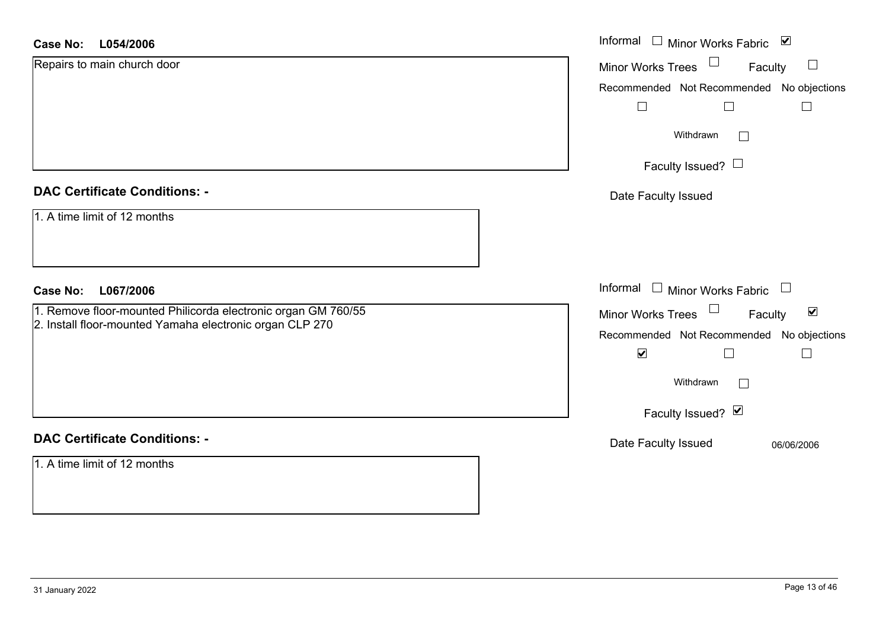#### **L054/2006Case No:**

| <b>Case No:</b><br>L054/2006                                  | Informal □ Minor Works Fabric ☑                             |
|---------------------------------------------------------------|-------------------------------------------------------------|
| Repairs to main church door                                   | Minor Works Trees<br>$\Box$<br>Faculty                      |
|                                                               | Recommended Not Recommended No objections                   |
|                                                               | $\Box$                                                      |
|                                                               | Withdrawn<br>$\Box$                                         |
|                                                               | Faculty Issued? $\Box$                                      |
| <b>DAC Certificate Conditions: -</b>                          | Date Faculty Issued                                         |
| 1. A time limit of 12 months                                  |                                                             |
| L067/2006<br><b>Case No:</b>                                  | Informal $\Box$ Minor Works Fabric $\Box$                   |
| 1. Remove floor-mounted Philicorda electronic organ GM 760/55 | Minor Works Trees $\Box$<br>$\blacktriangledown$<br>Faculty |
| 2. Install floor-mounted Yamaha electronic organ CLP 270      | Recommended Not Recommended No objections                   |
|                                                               | $\blacktriangledown$                                        |
|                                                               | Withdrawn                                                   |
|                                                               | Faculty Issued? Ø                                           |
| <b>DAC Certificate Conditions: -</b>                          | Date Faculty Issued<br>06/06/2006                           |
| 1. A time limit of 12 months                                  |                                                             |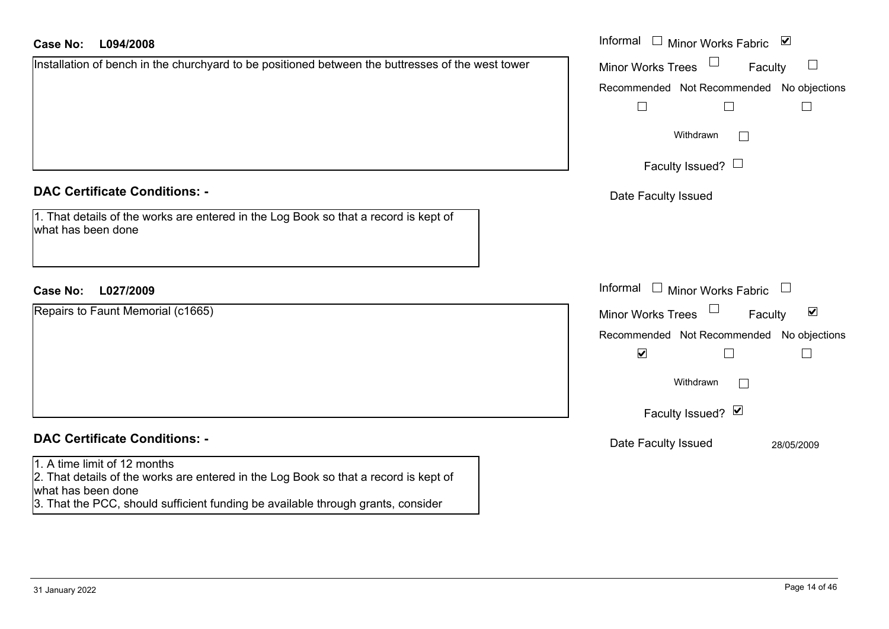| <b>Case No:</b><br>L094/2008                                                                                                               | Informal □ Minor Works Fabric ⊠                                             |
|--------------------------------------------------------------------------------------------------------------------------------------------|-----------------------------------------------------------------------------|
| Installation of bench in the churchyard to be positioned between the buttresses of the west tower                                          | <b>Minor Works Trees</b><br>$\Box$<br>Faculty                               |
|                                                                                                                                            | Recommended Not Recommended No objections                                   |
|                                                                                                                                            |                                                                             |
|                                                                                                                                            | Withdrawn<br>$\Box$                                                         |
|                                                                                                                                            | Faculty Issued? $\Box$                                                      |
| <b>DAC Certificate Conditions: -</b>                                                                                                       | Date Faculty Issued                                                         |
| 1. That details of the works are entered in the Log Book so that a record is kept of<br>what has been done                                 |                                                                             |
| <b>Case No:</b><br>L027/2009                                                                                                               | Informal $\Box$ Minor Works Fabric<br>$\begin{array}{c} \hline \end{array}$ |
| Repairs to Faunt Memorial (c1665)                                                                                                          | $\blacktriangledown$<br>Minor Works Trees<br>Faculty                        |
|                                                                                                                                            | Recommended Not Recommended No objections                                   |
|                                                                                                                                            | $\blacktriangledown$                                                        |
|                                                                                                                                            | Withdrawn<br>$\mathbf{L}$                                                   |
|                                                                                                                                            | Faculty Issued? Ø                                                           |
| <b>DAC Certificate Conditions: -</b>                                                                                                       | Date Faculty Issued<br>28/05/2009                                           |
| 1. A time limit of 12 months<br>2. That details of the works are entered in the Log Book so that a record is kept of<br>uhat boo boop dopo |                                                                             |

what has been done

3. That the PCC, should sufficient funding be available through grants, consider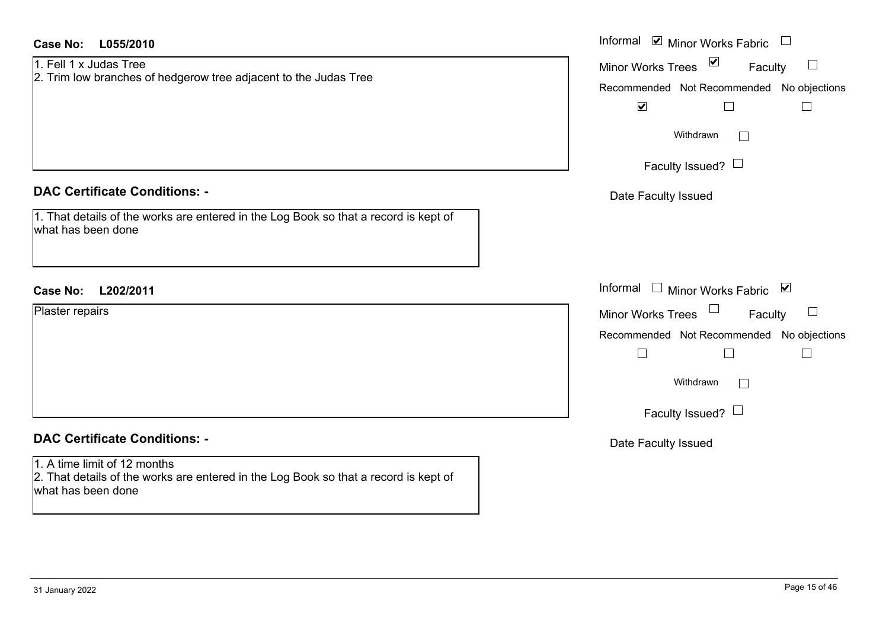| <b>Case No:</b><br>L055/2010                                                                                                               | Informal $\blacksquare$ Minor Works Fabric $\Box$                                                        |
|--------------------------------------------------------------------------------------------------------------------------------------------|----------------------------------------------------------------------------------------------------------|
| 1. Fell 1 x Judas Tree<br>2. Trim low branches of hedgerow tree adjacent to the Judas Tree                                                 | $\blacktriangledown$<br><b>Minor Works Trees</b><br>Faculty<br>Recommended Not Recommended No objections |
|                                                                                                                                            | $\blacktriangledown$<br>$\Box$<br>Withdrawn                                                              |
|                                                                                                                                            | Faculty Issued? $\Box$                                                                                   |
| <b>DAC Certificate Conditions: -</b>                                                                                                       | Date Faculty Issued                                                                                      |
| 1. That details of the works are entered in the Log Book so that a record is kept of<br>what has been done                                 |                                                                                                          |
| <b>Case No:</b><br>L202/2011                                                                                                               | Informal □ Minor Works Fabric ☑                                                                          |
| Plaster repairs                                                                                                                            | $\Box$<br><b>Minor Works Trees</b><br>Faculty                                                            |
|                                                                                                                                            | Recommended Not Recommended No objections                                                                |
|                                                                                                                                            | $\Box$<br>$\Box$<br>$\Box$                                                                               |
|                                                                                                                                            | Withdrawn<br>$\Box$                                                                                      |
|                                                                                                                                            | Faculty Issued? $\Box$                                                                                   |
| <b>DAC Certificate Conditions: -</b>                                                                                                       | Date Faculty Issued                                                                                      |
| 1. A time limit of 12 months<br>2. That details of the works are entered in the Log Book so that a record is kept of<br>what has been done |                                                                                                          |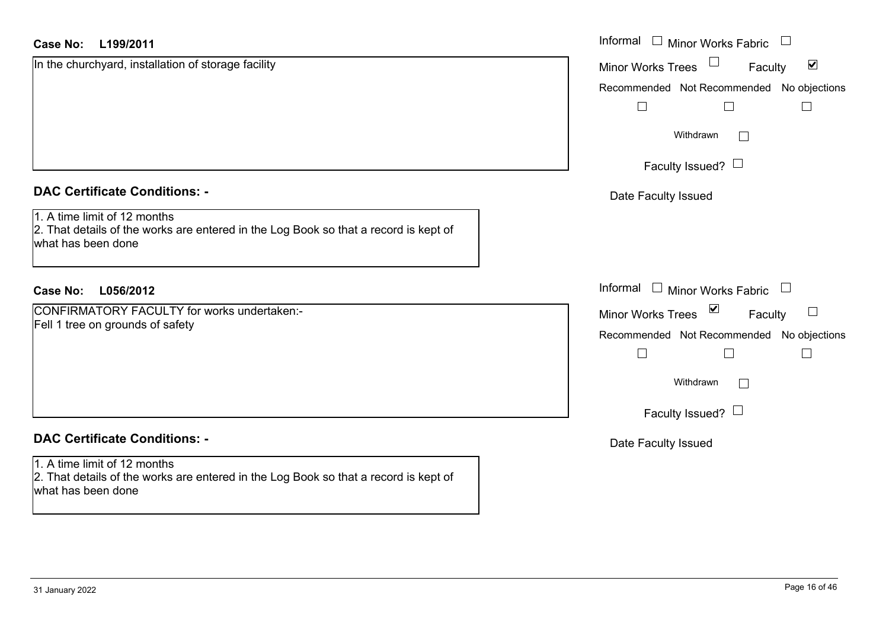| <b>Case No:</b><br>L199/2011                                                                                                               | Informal □ Minor Works Fabric                                         |
|--------------------------------------------------------------------------------------------------------------------------------------------|-----------------------------------------------------------------------|
| In the churchyard, installation of storage facility                                                                                        | $\blacktriangledown$<br><b>Minor Works Trees</b><br>Faculty           |
|                                                                                                                                            | Recommended Not Recommended No objections                             |
|                                                                                                                                            | $\Box$<br>$\mathbf{L}$                                                |
|                                                                                                                                            | Withdrawn<br>$\Box$                                                   |
|                                                                                                                                            | Faculty Issued? $\Box$                                                |
| <b>DAC Certificate Conditions: -</b>                                                                                                       | Date Faculty Issued                                                   |
| 1. A time limit of 12 months<br>2. That details of the works are entered in the Log Book so that a record is kept of<br>what has been done |                                                                       |
| <b>Case No:</b><br>L056/2012                                                                                                               | Informal □ Minor Works Fabric                                         |
| <b>CONFIRMATORY FACULTY for works undertaken:-</b>                                                                                         | $\blacktriangledown$<br>$\Box$<br><b>Minor Works Trees</b><br>Faculty |
| Fell 1 tree on grounds of safety                                                                                                           | Recommended Not Recommended No objections                             |
|                                                                                                                                            | $\vert \ \ \vert$<br>$\Box$<br>$\overline{\phantom{a}}$               |
|                                                                                                                                            | Withdrawn<br>$\Box$                                                   |
|                                                                                                                                            | Faculty Issued? $\Box$                                                |
| <b>DAC Certificate Conditions: -</b>                                                                                                       | Date Faculty Issued                                                   |
| 1. A time limit of 12 months<br>2. That details of the works are entered in the Log Book so that a record is kept of<br>what has been done |                                                                       |
|                                                                                                                                            |                                                                       |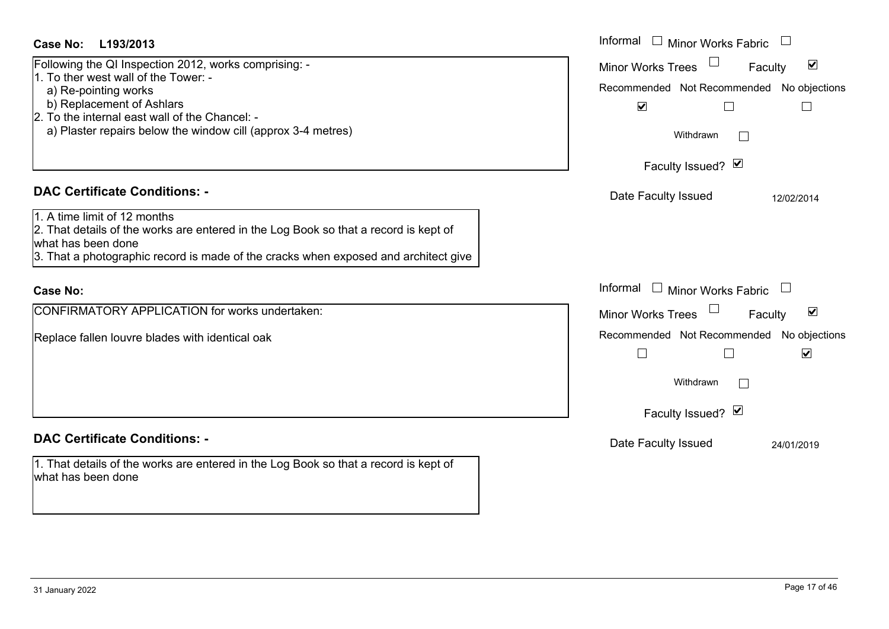| <b>Case No:</b><br>L193/2013                                                                                                                                                                                                                                         | Informal<br>$\mathbb{R}^n$<br><b>Minor Works Fabric</b>                                                                                                            |  |  |
|----------------------------------------------------------------------------------------------------------------------------------------------------------------------------------------------------------------------------------------------------------------------|--------------------------------------------------------------------------------------------------------------------------------------------------------------------|--|--|
| Following the QI Inspection 2012, works comprising: -<br>1. To ther west wall of the Tower: -<br>a) Re-pointing works<br>b) Replacement of Ashlars<br>2. To the internal east wall of the Chancel: -<br>a) Plaster repairs below the window cill (approx 3-4 metres) | $\blacktriangledown$<br><b>Minor Works Trees</b><br>Faculty<br>Recommended Not Recommended<br>No objections<br>$\blacktriangledown$<br>Withdrawn<br>$\mathbb{R}^n$ |  |  |
| <b>DAC Certificate Conditions: -</b>                                                                                                                                                                                                                                 | Faculty Issued? Ø                                                                                                                                                  |  |  |
| 1. A time limit of 12 months<br>2. That details of the works are entered in the Log Book so that a record is kept of<br>what has been done<br>3. That a photographic record is made of the cracks when exposed and architect give                                    | Date Faculty Issued<br>12/02/2014                                                                                                                                  |  |  |
| <b>Case No:</b>                                                                                                                                                                                                                                                      | Informal<br><b>Minor Works Fabric</b>                                                                                                                              |  |  |
| CONFIRMATORY APPLICATION for works undertaken:                                                                                                                                                                                                                       | $\blacktriangledown$<br><b>Minor Works Trees</b><br>Faculty                                                                                                        |  |  |
| Replace fallen louvre blades with identical oak                                                                                                                                                                                                                      | Recommended Not Recommended<br>No objections<br>$\blacktriangledown$<br>$\Box$                                                                                     |  |  |
|                                                                                                                                                                                                                                                                      | Withdrawn<br>Faculty Issued? Ø                                                                                                                                     |  |  |
| <b>DAC Certificate Conditions: -</b>                                                                                                                                                                                                                                 | Date Faculty Issued<br>24/01/2019                                                                                                                                  |  |  |
| 1. That details of the works are entered in the Log Book so that a record is kept of<br>what has been done                                                                                                                                                           |                                                                                                                                                                    |  |  |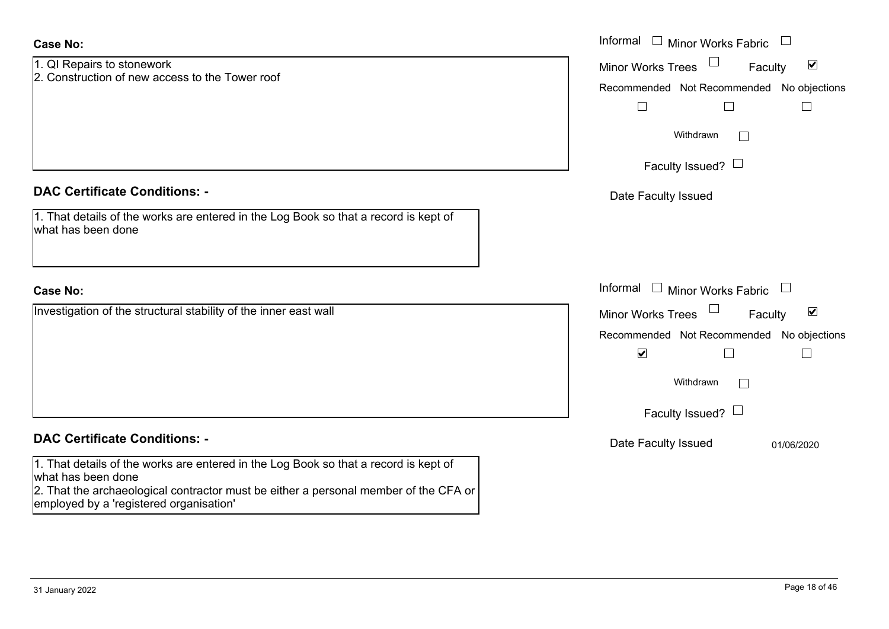|                                                                                                                                                                                                    | Informal □ Minor Works Fabric                               |
|----------------------------------------------------------------------------------------------------------------------------------------------------------------------------------------------------|-------------------------------------------------------------|
| 1. QI Repairs to stonework                                                                                                                                                                         | $\blacktriangledown$<br><b>Minor Works Trees</b><br>Faculty |
| 2. Construction of new access to the Tower roof                                                                                                                                                    | Recommended Not Recommended No objections                   |
|                                                                                                                                                                                                    | $\Box$<br>$\Box$                                            |
|                                                                                                                                                                                                    | Withdrawn<br>$\Box$                                         |
|                                                                                                                                                                                                    | Faculty Issued? $\Box$                                      |
| <b>DAC Certificate Conditions: -</b>                                                                                                                                                               | Date Faculty Issued                                         |
| 1. That details of the works are entered in the Log Book so that a record is kept of<br>what has been done                                                                                         |                                                             |
| <b>Case No:</b>                                                                                                                                                                                    | Informal<br>$\Box$ Minor Works Fabric                       |
| Investigation of the structural stability of the inner east wall                                                                                                                                   | $\blacktriangledown$<br>Minor Works Trees<br>Faculty        |
|                                                                                                                                                                                                    | Recommended Not Recommended No objections                   |
|                                                                                                                                                                                                    | $\blacktriangledown$<br>$\mathbf{L}$                        |
|                                                                                                                                                                                                    | Withdrawn<br>$\Box$                                         |
|                                                                                                                                                                                                    | Faculty Issued? $\Box$                                      |
| <b>DAC Certificate Conditions: -</b>                                                                                                                                                               | Date Faculty Issued<br>01/06/2020                           |
| 1. That details of the works are entered in the Log Book so that a record is kept of<br>what has been done<br>2. That the archaeological contractor must be either a personal member of the CFA or |                                                             |

employed by a 'registered organisation'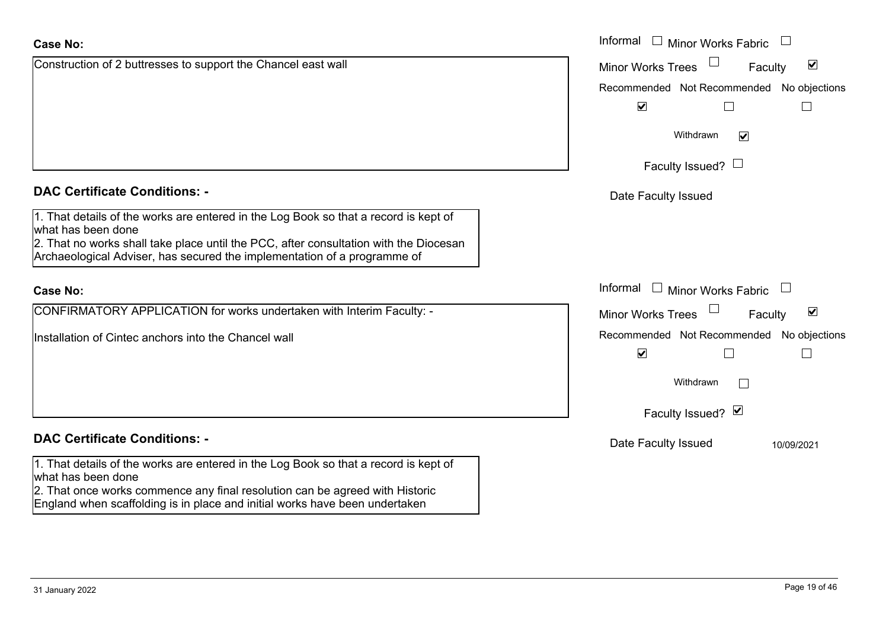England when scaffolding is in place and initial works have been undertaken

#### Construction **Case No:**Informal

| Case No:<br>Informal $\Box$ Minor Works Fabric $\Box$                                                                                                                                               |                                                             |  |
|-----------------------------------------------------------------------------------------------------------------------------------------------------------------------------------------------------|-------------------------------------------------------------|--|
| Construction of 2 buttresses to support the Chancel east wall                                                                                                                                       | $\blacktriangledown$<br><b>Minor Works Trees</b><br>Faculty |  |
|                                                                                                                                                                                                     | Recommended Not Recommended No objections                   |  |
|                                                                                                                                                                                                     | $\blacktriangledown$                                        |  |
|                                                                                                                                                                                                     | Withdrawn<br>$\blacktriangledown$                           |  |
|                                                                                                                                                                                                     | Faculty Issued? $\Box$                                      |  |
| <b>DAC Certificate Conditions: -</b>                                                                                                                                                                | Date Faculty Issued                                         |  |
| 1. That details of the works are entered in the Log Book so that a record is kept of<br>what has been done<br>2. That no works shall take place until the PCC, after consultation with the Diocesan |                                                             |  |
| Archaeological Adviser, has secured the implementation of a programme of                                                                                                                            |                                                             |  |
| <b>Case No:</b>                                                                                                                                                                                     | Informal I Minor Works Fabric                               |  |
| CONFIRMATORY APPLICATION for works undertaken with Interim Faculty: -                                                                                                                               | $\blacktriangledown$<br>Minor Works Trees<br>Faculty        |  |
| Installation of Cintec anchors into the Chancel wall                                                                                                                                                | Recommended Not Recommended No objections                   |  |
|                                                                                                                                                                                                     | $\blacktriangledown$                                        |  |
|                                                                                                                                                                                                     | Withdrawn<br>$\Box$                                         |  |
|                                                                                                                                                                                                     | Faculty Issued? Ø                                           |  |
| <b>DAC Certificate Conditions: -</b>                                                                                                                                                                | Date Faculty Issued<br>10/09/2021                           |  |
| 1. That details of the works are entered in the Log Book so that a record is kept of<br>what has been done                                                                                          |                                                             |  |
| 2. That once works commence any final resolution can be agreed with Historic                                                                                                                        |                                                             |  |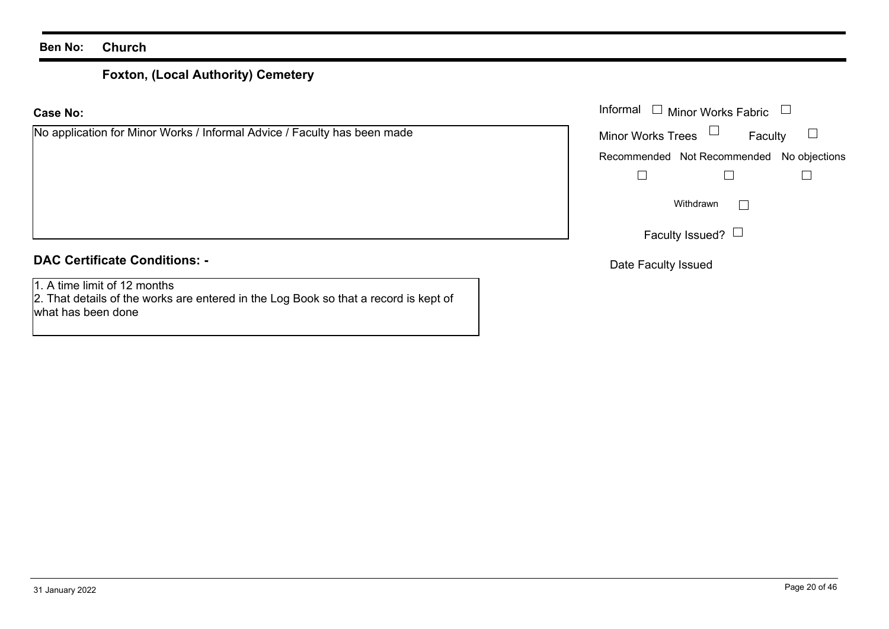# **Foxton, (Local Authority) Cemetery**

**Case No:**Informal

| No application for Minor Works / Informal Advice / Faculty has been made | <b>Minor Works Trees</b> | Faculty                                   |  |
|--------------------------------------------------------------------------|--------------------------|-------------------------------------------|--|
|                                                                          |                          | Recommended Not Recommended No objections |  |
|                                                                          |                          |                                           |  |
|                                                                          |                          | Withdrawn                                 |  |
|                                                                          |                          | Faculty Issued? $\Box$                    |  |
| <b>DAC Certificate Conditions: -</b>                                     | Date Faculty Issued      |                                           |  |

1. A time limit of 12 months 2. That details of the works are entered in the Log Book so that a record is kept of what has been done

Minor Works Fabric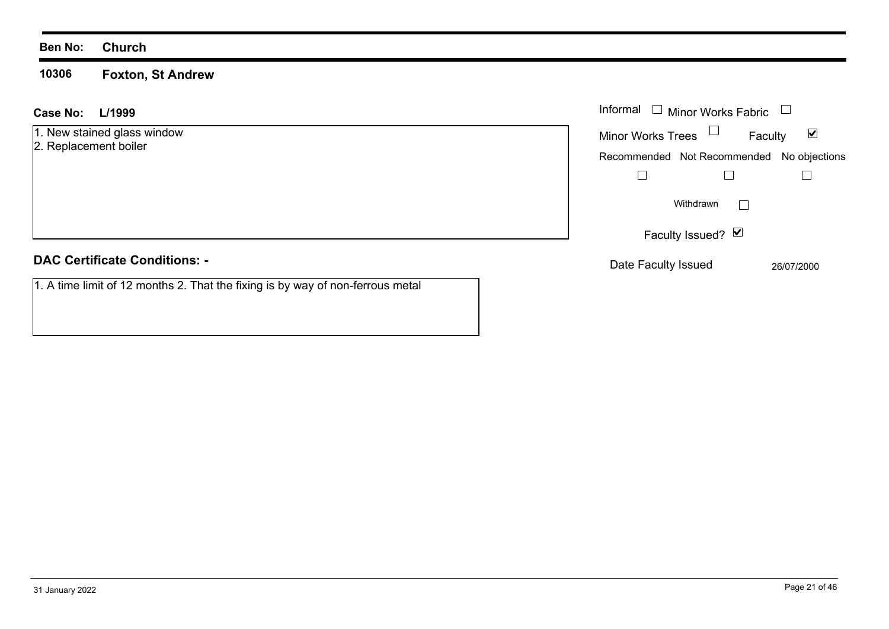**10306 Foxton, St Andrew**

| L/1999<br>Case No:                                                             | Informal $\Box$ Minor Works Fabric                          |
|--------------------------------------------------------------------------------|-------------------------------------------------------------|
| 1. New stained glass window<br>2. Replacement boiler                           | $\blacktriangledown$<br><b>Minor Works Trees</b><br>Faculty |
|                                                                                | Recommended Not Recommended<br>No objections                |
|                                                                                |                                                             |
|                                                                                | Withdrawn                                                   |
|                                                                                | Faculty Issued? $\vee$                                      |
| <b>DAC Certificate Conditions: -</b>                                           | Date Faculty Issued<br>26/07/2000                           |
| 1. A time limit of 12 months 2. That the fixing is by way of non-ferrous metal |                                                             |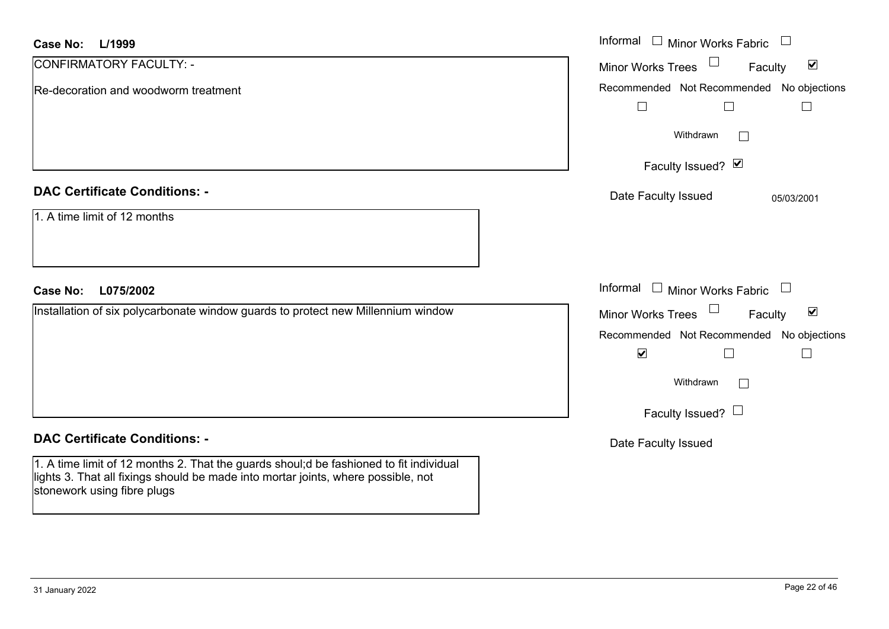| <b>Case No:</b><br>L/1999                                                                                                                                                                                  | Informal □ Minor Works Fabric                                  |
|------------------------------------------------------------------------------------------------------------------------------------------------------------------------------------------------------------|----------------------------------------------------------------|
| CONFIRMATORY FACULTY: -                                                                                                                                                                                    | $\Box$<br>$\blacktriangledown$<br>Minor Works Trees<br>Faculty |
| Re-decoration and woodworm treatment                                                                                                                                                                       | Recommended Not Recommended No objections                      |
|                                                                                                                                                                                                            | $\Box$<br>⊔                                                    |
|                                                                                                                                                                                                            | Withdrawn<br>$\Box$                                            |
|                                                                                                                                                                                                            | Faculty Issued? Ø                                              |
| <b>DAC Certificate Conditions: -</b>                                                                                                                                                                       | Date Faculty Issued<br>05/03/2001                              |
| 1. A time limit of 12 months                                                                                                                                                                               |                                                                |
| <b>Case No:</b><br>L075/2002                                                                                                                                                                               | Informal<br>$\Box$ Minor Works Fabric                          |
| Installation of six polycarbonate window guards to protect new Millennium window                                                                                                                           | $\Box$<br>$\blacktriangledown$<br>Minor Works Trees<br>Faculty |
|                                                                                                                                                                                                            | Recommended Not Recommended<br>No objections                   |
|                                                                                                                                                                                                            | $\blacktriangledown$                                           |
|                                                                                                                                                                                                            | Withdrawn<br>$\perp$                                           |
|                                                                                                                                                                                                            | Faculty Issued? $\Box$                                         |
| <b>DAC Certificate Conditions: -</b>                                                                                                                                                                       | Date Faculty Issued                                            |
| 1. A time limit of 12 months 2. That the guards shoul;d be fashioned to fit individual<br>lights 3. That all fixings should be made into mortar joints, where possible, not<br>stonework using fibre plugs |                                                                |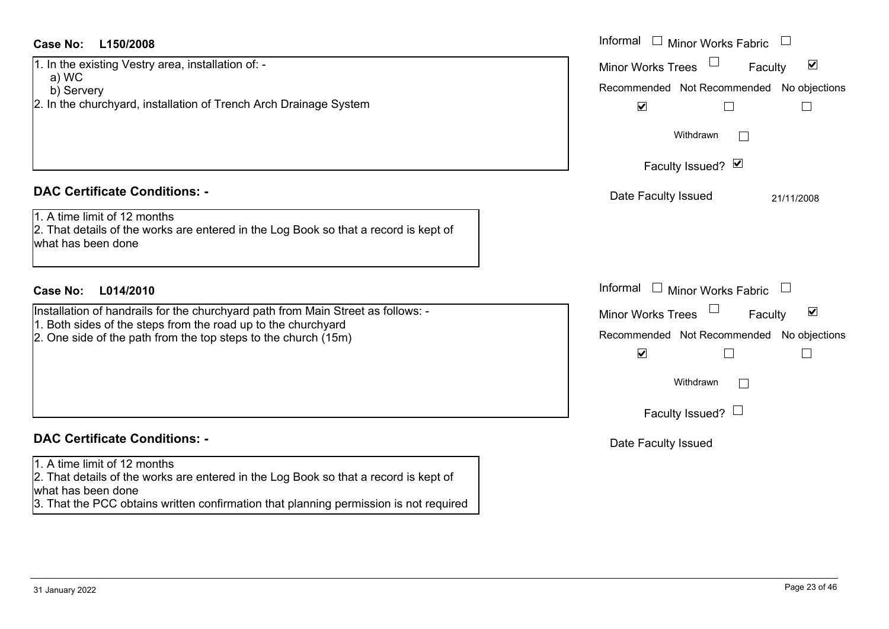| <b>Case No:</b><br>L150/2008                                                                                                                   | Informal $\Box$ Minor Works Fabric                                                                                                                    |
|------------------------------------------------------------------------------------------------------------------------------------------------|-------------------------------------------------------------------------------------------------------------------------------------------------------|
| 1. In the existing Vestry area, installation of: -<br>a) WC<br>b) Servery<br>2. In the churchyard, installation of Trench Arch Drainage System | $\blacktriangledown$<br><b>Minor Works Trees</b><br>Faculty<br>Recommended Not Recommended No objections<br>$\blacktriangledown$<br>$\vert \ \ \vert$ |
|                                                                                                                                                | Withdrawn                                                                                                                                             |
|                                                                                                                                                | Faculty Issued? Ø                                                                                                                                     |
| <b>DAC Certificate Conditions: -</b>                                                                                                           | Date Faculty Issued<br>21/11/2008                                                                                                                     |
| 1. A time limit of 12 months<br>2. That details of the works are entered in the Log Book so that a record is kept of<br>what has been done     |                                                                                                                                                       |
| <b>Case No:</b><br>L014/2010                                                                                                                   | Informal<br>$\Box$ Minor Works Fabric                                                                                                                 |
| Installation of handrails for the churchyard path from Main Street as follows: -                                                               | $\blacktriangledown$<br>Minor Works Trees<br>Faculty                                                                                                  |
| 1. Both sides of the steps from the road up to the churchyard<br>2. One side of the path from the top steps to the church (15m)                | Recommended Not Recommended No objections<br>$\blacktriangledown$                                                                                     |
|                                                                                                                                                | Withdrawn                                                                                                                                             |
|                                                                                                                                                | Faculty Issued? $\Box$                                                                                                                                |
| <b>DAC Certificate Conditions: -</b>                                                                                                           | Date Faculty Issued                                                                                                                                   |
| 1. A time limit of 12 months<br>2. That details of the works are entered in the Log Book so that a record is kept of<br>what has been done     |                                                                                                                                                       |
| 3. That the PCC obtains written confirmation that planning permission is not required                                                          |                                                                                                                                                       |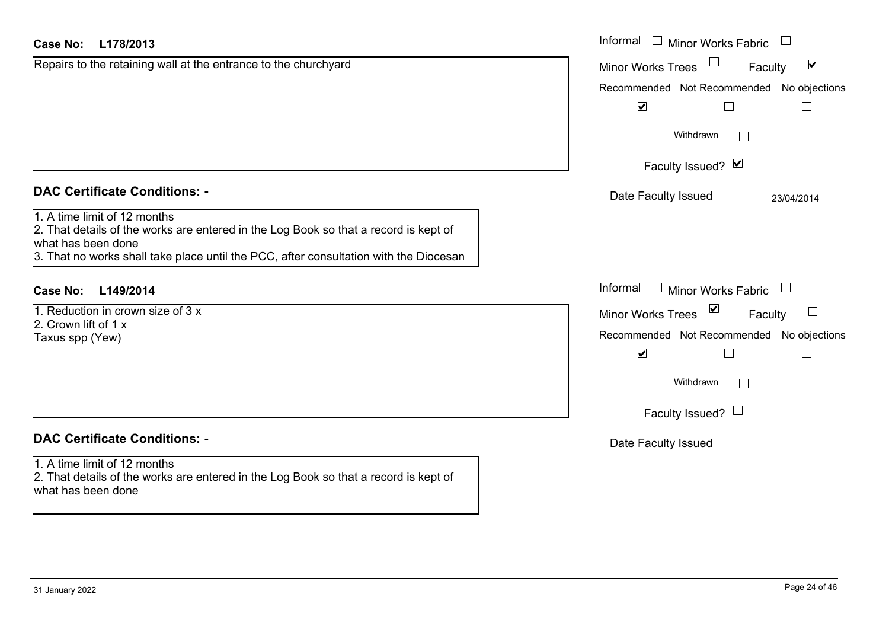| <b>Case No:</b><br>L178/2013                                                                                                                                                                                                        | Informal $\Box$ Minor Works Fabric                                |
|-------------------------------------------------------------------------------------------------------------------------------------------------------------------------------------------------------------------------------------|-------------------------------------------------------------------|
| Repairs to the retaining wall at the entrance to the churchyard                                                                                                                                                                     | $\blacktriangledown$<br><b>Minor Works Trees</b><br>Faculty       |
|                                                                                                                                                                                                                                     | Recommended Not Recommended No objections<br>$\blacktriangledown$ |
|                                                                                                                                                                                                                                     | Withdrawn                                                         |
|                                                                                                                                                                                                                                     | Faculty Issued? Ø                                                 |
| <b>DAC Certificate Conditions: -</b>                                                                                                                                                                                                | Date Faculty Issued<br>23/04/2014                                 |
| 1. A time limit of 12 months<br>2. That details of the works are entered in the Log Book so that a record is kept of<br>what has been done<br>3. That no works shall take place until the PCC, after consultation with the Diocesan |                                                                   |
| L149/2014<br>Case No:                                                                                                                                                                                                               | Informal $\Box$ Minor Works Fabric                                |
| 1. Reduction in crown size of 3 x                                                                                                                                                                                                   | $\blacktriangledown$<br><b>Minor Works Trees</b><br>Faculty       |
| 2. Crown lift of 1 x<br>Taxus spp (Yew)                                                                                                                                                                                             | Recommended Not Recommended No objections                         |
|                                                                                                                                                                                                                                     | $\blacktriangledown$                                              |
|                                                                                                                                                                                                                                     | Withdrawn<br>$\Box$                                               |
|                                                                                                                                                                                                                                     | Faculty Issued? $\Box$                                            |
| <b>DAC Certificate Conditions: -</b>                                                                                                                                                                                                | Date Faculty Issued                                               |
| 1. A time limit of 12 months<br>2. That details of the works are entered in the Log Book so that a record is kept of<br>what has been done                                                                                          |                                                                   |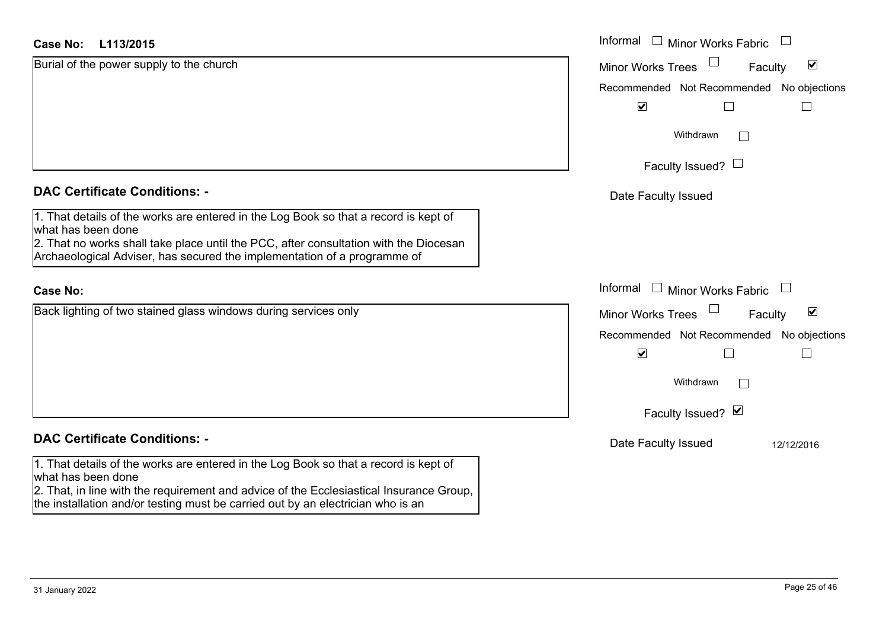#### **L113/2015Case No:**

| Case No:<br>L113/2015                                                                                                                                                      | Informal □ Minor Works Fabric                               |
|----------------------------------------------------------------------------------------------------------------------------------------------------------------------------|-------------------------------------------------------------|
| Burial of the power supply to the church                                                                                                                                   | $\blacktriangledown$<br><b>Minor Works Trees</b><br>Faculty |
|                                                                                                                                                                            | Recommended Not Recommended No objections                   |
|                                                                                                                                                                            | $\blacktriangledown$                                        |
|                                                                                                                                                                            | Withdrawn<br>$\mathbf{1}$                                   |
|                                                                                                                                                                            | Faculty Issued? $\Box$                                      |
| <b>DAC Certificate Conditions: -</b>                                                                                                                                       | Date Faculty Issued                                         |
| 1. That details of the works are entered in the Log Book so that a record is kept of<br>what has been done                                                                 |                                                             |
| 2. That no works shall take place until the PCC, after consultation with the Diocesan<br>Archaeological Adviser, has secured the implementation of a programme of          |                                                             |
| <b>Case No:</b>                                                                                                                                                            | Informal<br>$\Box$ Minor Works Fabric<br>$\Box$             |
| Back lighting of two stained glass windows during services only                                                                                                            | $\blacktriangledown$<br><b>Minor Works Trees</b><br>Faculty |
|                                                                                                                                                                            | Recommended Not Recommended No objections                   |
|                                                                                                                                                                            | $\blacktriangledown$                                        |
|                                                                                                                                                                            | Withdrawn                                                   |
|                                                                                                                                                                            | Faculty Issued? Ø                                           |
| <b>DAC Certificate Conditions: -</b>                                                                                                                                       | Date Faculty Issued<br>12/12/2016                           |
| 1. That details of the works are entered in the Log Book so that a record is kept of<br>what has been done                                                                 |                                                             |
| 2. That, in line with the requirement and advice of the Ecclesiastical Insurance Group,<br>the installation and/or testing must be carried out by an electrician who is an |                                                             |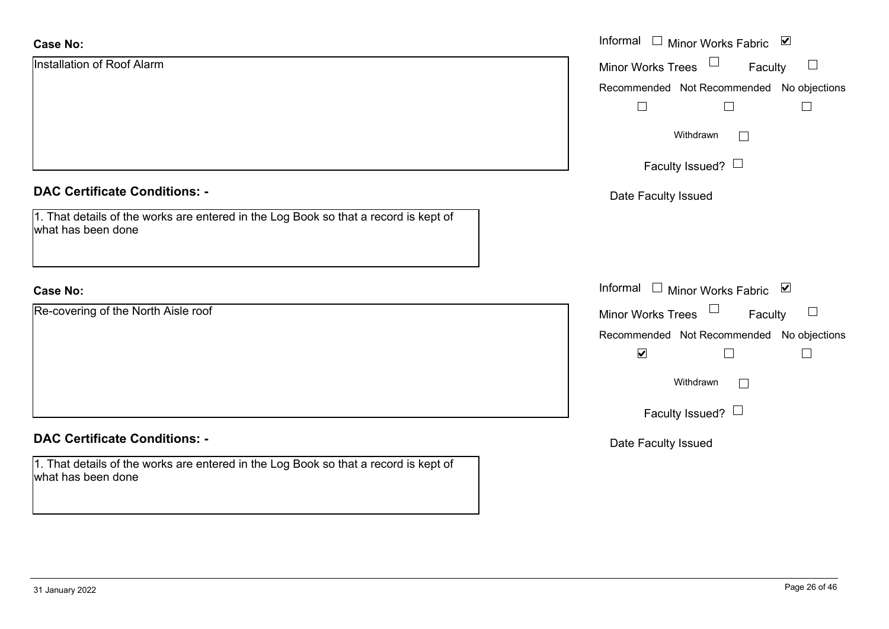| <b>Case No:</b>                                                                                            | Informal $\square$<br>Minor Works Fabric ⊠    |
|------------------------------------------------------------------------------------------------------------|-----------------------------------------------|
| Installation of Roof Alarm                                                                                 | $\Box$<br>Minor Works Trees<br>Faculty        |
|                                                                                                            | Recommended Not Recommended No objections     |
|                                                                                                            | $\perp$                                       |
|                                                                                                            | Withdrawn<br>$\Box$                           |
|                                                                                                            | Faculty Issued? $\Box$                        |
| <b>DAC Certificate Conditions: -</b>                                                                       | Date Faculty Issued                           |
| 1. That details of the works are entered in the Log Book so that a record is kept of<br>what has been done |                                               |
|                                                                                                            |                                               |
| <b>Case No:</b>                                                                                            | Informal $\square$<br>Minor Works Fabric ⊠    |
| Re-covering of the North Aisle roof                                                                        | $\Box$<br><b>Minor Works Trees</b><br>Faculty |
|                                                                                                            | Recommended Not Recommended No objections     |
|                                                                                                            | $\blacktriangledown$                          |
|                                                                                                            | Withdrawn<br>$\Box$                           |
|                                                                                                            | Faculty Issued? $\Box$                        |
| <b>DAC Certificate Conditions: -</b>                                                                       | Date Faculty Issued                           |
| 1. That details of the works are entered in the Log Book so that a record is kept of<br>what has been done |                                               |
|                                                                                                            |                                               |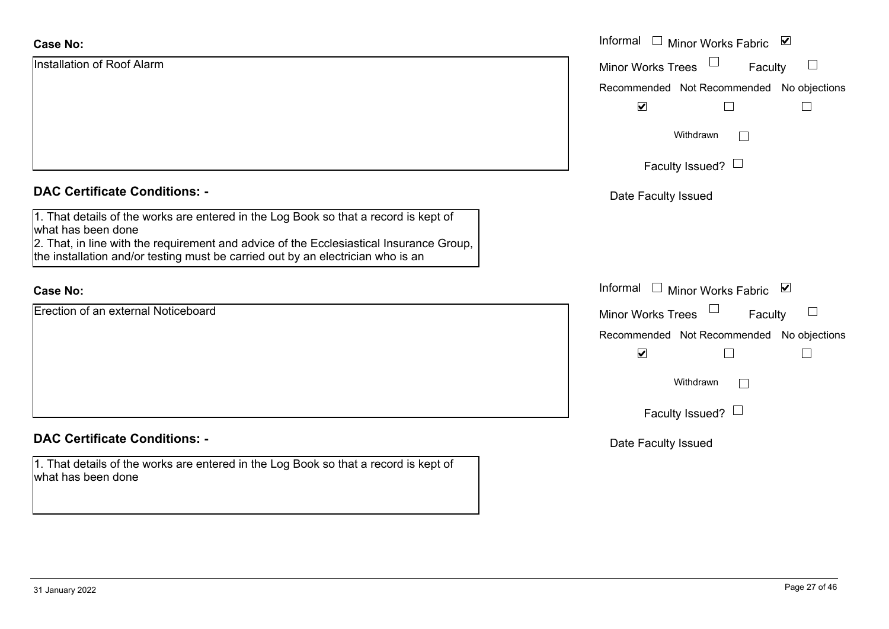| <b>Case No:</b>                                                                                                                                                            | Informal □ Minor Works Fabric ☑           |  |  |
|----------------------------------------------------------------------------------------------------------------------------------------------------------------------------|-------------------------------------------|--|--|
| Installation of Roof Alarm                                                                                                                                                 | Minor Works Trees<br>Faculty<br>⊔         |  |  |
|                                                                                                                                                                            | Recommended Not Recommended No objections |  |  |
|                                                                                                                                                                            | $\blacktriangledown$<br>$\Box$            |  |  |
|                                                                                                                                                                            | Withdrawn<br>$\perp$                      |  |  |
|                                                                                                                                                                            | Faculty Issued? $\Box$                    |  |  |
| <b>DAC Certificate Conditions: -</b>                                                                                                                                       | Date Faculty Issued                       |  |  |
| 1. That details of the works are entered in the Log Book so that a record is kept of<br>what has been done                                                                 |                                           |  |  |
| 2. That, in line with the requirement and advice of the Ecclesiastical Insurance Group,<br>the installation and/or testing must be carried out by an electrician who is an |                                           |  |  |
| <b>Case No:</b>                                                                                                                                                            | Informal $\Box$ Minor Works Fabric $\Box$ |  |  |
| Erection of an external Noticeboard                                                                                                                                        | Minor Works Trees<br>Faculty              |  |  |
|                                                                                                                                                                            | Recommended Not Recommended No objections |  |  |
|                                                                                                                                                                            | $\blacktriangledown$<br>$\Box$<br>$\Box$  |  |  |
|                                                                                                                                                                            | Withdrawn<br>$\Box$                       |  |  |
|                                                                                                                                                                            | Faculty Issued? $\Box$                    |  |  |
| <b>DAC Certificate Conditions: -</b>                                                                                                                                       | Date Faculty Issued                       |  |  |
| 1. That details of the works are entered in the Log Book so that a record is kept of<br>what has been done                                                                 |                                           |  |  |
|                                                                                                                                                                            |                                           |  |  |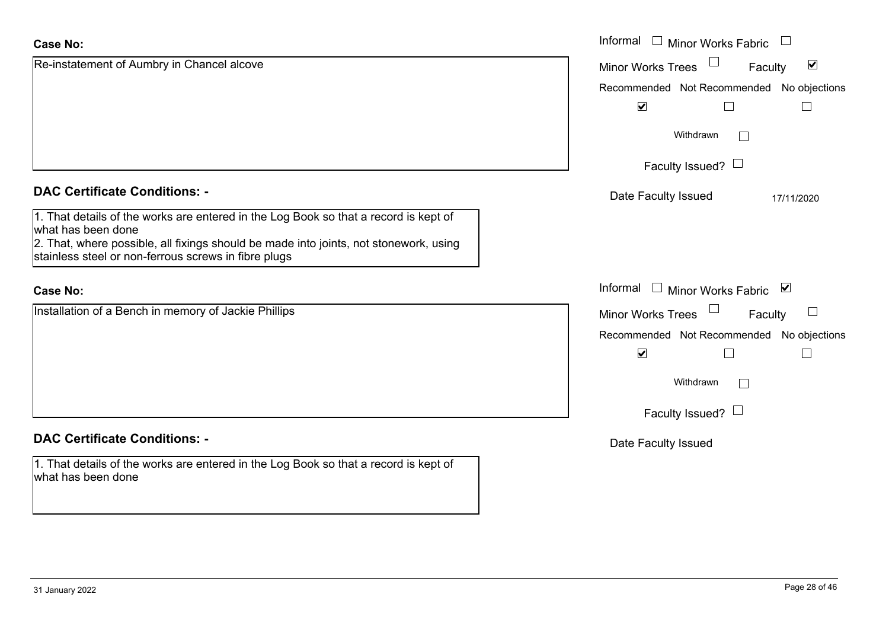| <b>Case No:</b>                                                                                                                               | Informal $\Box$ Minor Works Fabric                   |
|-----------------------------------------------------------------------------------------------------------------------------------------------|------------------------------------------------------|
| Re-instatement of Aumbry in Chancel alcove                                                                                                    | $\blacktriangledown$<br>Minor Works Trees<br>Faculty |
|                                                                                                                                               | Recommended Not Recommended No objections            |
|                                                                                                                                               | $\blacktriangledown$                                 |
|                                                                                                                                               | Withdrawn                                            |
|                                                                                                                                               | Faculty Issued? $\Box$                               |
| <b>DAC Certificate Conditions: -</b>                                                                                                          | Date Faculty Issued<br>17/11/2020                    |
| 1. That details of the works are entered in the Log Book so that a record is kept of<br>what has been done                                    |                                                      |
| 2. That, where possible, all fixings should be made into joints, not stonework, using<br>stainless steel or non-ferrous screws in fibre plugs |                                                      |
| <b>Case No:</b>                                                                                                                               | Informal □ Minor Works Fabric ⊠                      |
| Installation of a Bench in memory of Jackie Phillips                                                                                          | Minor Works Trees<br>$\vert \ \ \vert$<br>Faculty    |
|                                                                                                                                               | Recommended Not Recommended No objections            |
|                                                                                                                                               | $\blacktriangledown$                                 |
|                                                                                                                                               | Withdrawn<br>$\mathbb{R}^n$                          |
|                                                                                                                                               | Faculty Issued? $\Box$                               |
| <b>DAC Certificate Conditions: -</b>                                                                                                          | Date Faculty Issued                                  |
| 1. That details of the works are entered in the Log Book so that a record is kept of<br>what has been done                                    |                                                      |

L.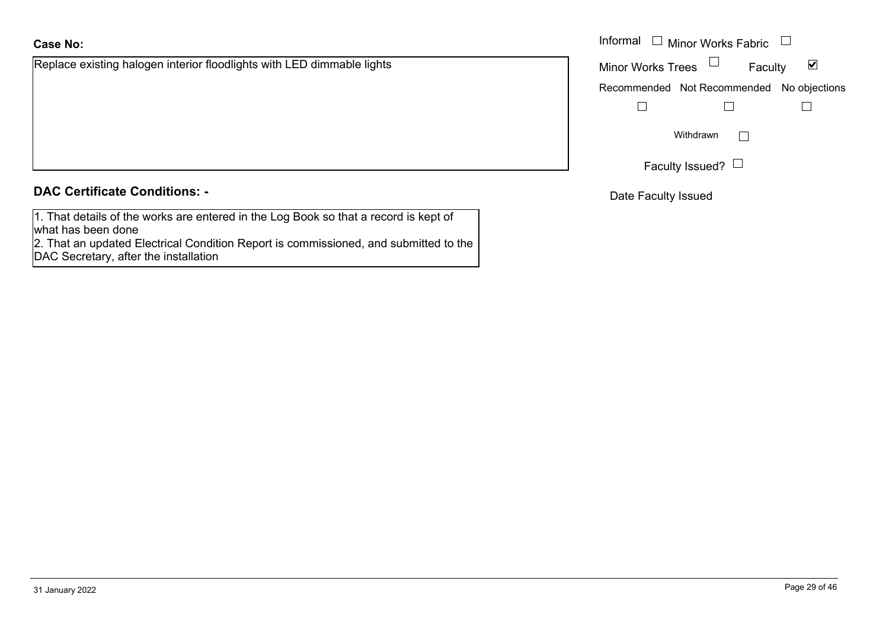Replace existing halogen interior floodlights with LED dimmable lights

|  | <b>DAC Certificate Conditions: -</b> |
|--|--------------------------------------|
|  |                                      |

1. That details of the works are entered in the Log Book so that a record is kept of what has been done

2. That an updated Electrical Condition Report is commissioned, and submitted to the DAC Secretary, after the installation

|                                                                | Informal $\Box$ Minor Works Fabric $\Box$                         |  |
|----------------------------------------------------------------|-------------------------------------------------------------------|--|
| existing halogen interior floodlights with LED dimmable lights | Minor Works Trees $\quad \Box$<br>$\blacktriangledown$<br>Faculty |  |
|                                                                | Recommended Not Recommended No objections                         |  |
|                                                                |                                                                   |  |
|                                                                | Withdrawn                                                         |  |
|                                                                | Faculty Issued? $\Box$                                            |  |

Date Faculty Issued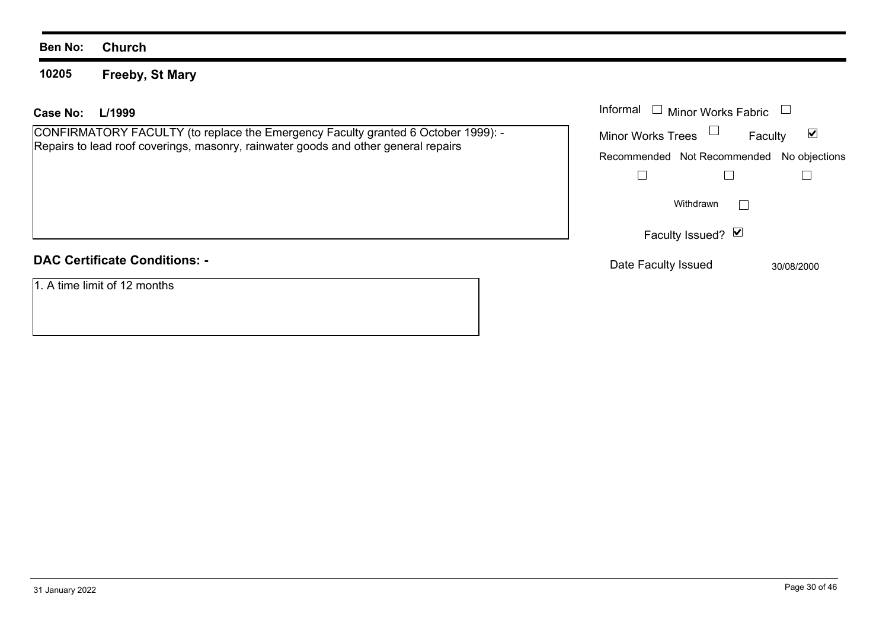#### **10205Freeby, St Mary**

#### **L/1999Case No:**

CONFIRMATORY FACULTY (to replace the Emergency Faculty granted 6 October 1999): - Repairs to lead roof coverings, masonry, rainwater goods and other general repairs

# **DAC Certificate Conditions: -**

1. A time limit of 12 months

| L/1999                                                                                                                                                   | Informal<br>□ Minor Works Fabric □                                                    |  |
|----------------------------------------------------------------------------------------------------------------------------------------------------------|---------------------------------------------------------------------------------------|--|
| MATORY FACULTY (to replace the Emergency Faculty granted 6 October 1999): -<br>o lead roof coverings, masonry, rainwater goods and other general repairs | <b>Minor Works Trees</b><br>⊻<br>Faculty<br>Recommended Not Recommended No objections |  |
|                                                                                                                                                          | Withdrawn                                                                             |  |
|                                                                                                                                                          | Faculty Issued? Ø                                                                     |  |
| rtificate Conditions: -                                                                                                                                  | Date Faculty Issued<br>30/08/2000                                                     |  |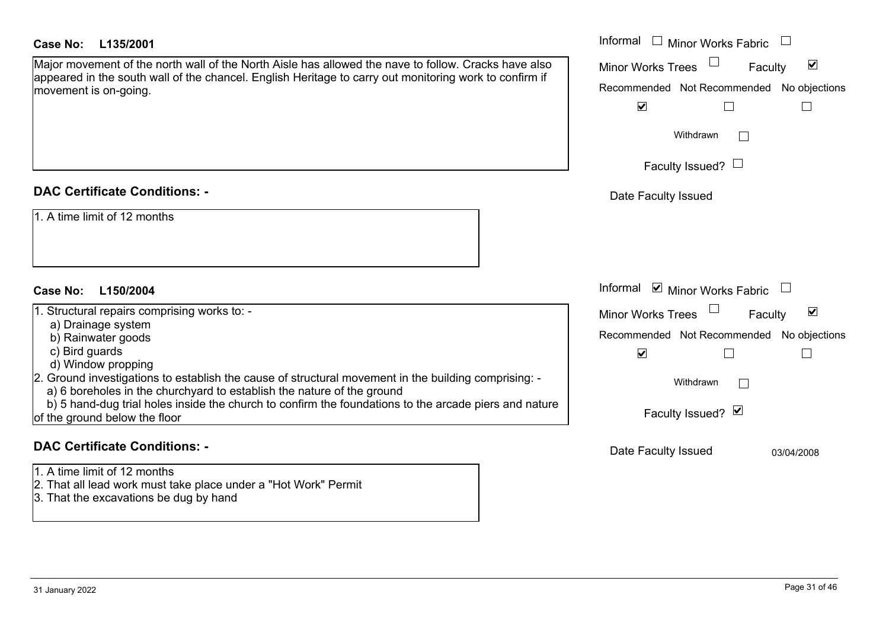| Case No: | L135/2001 |
|----------|-----------|
|----------|-----------|

# **DAC Certificate Conditions: -**

# **DAC Certificate Conditions: -**

- 1. A time limit of 12 months
- 2. That all lead work must take place under a "Hot Work" Permit
- 3. That the excavations be dug by hand

| Case No:<br>L135/2001                                                                                                                                                          | Informal $\Box$ Minor Works Fabric $\Box$                   |
|--------------------------------------------------------------------------------------------------------------------------------------------------------------------------------|-------------------------------------------------------------|
| Major movement of the north wall of the North Aisle has allowed the nave to follow. Cracks have also                                                                           | $\blacktriangledown$<br>Minor Works Trees<br>Faculty        |
| appeared in the south wall of the chancel. English Heritage to carry out monitoring work to confirm if<br>movement is on-going.                                                | Recommended Not Recommended No objections                   |
|                                                                                                                                                                                | $\blacktriangledown$                                        |
|                                                                                                                                                                                | Withdrawn                                                   |
|                                                                                                                                                                                | Faculty Issued? $\Box$                                      |
| <b>DAC Certificate Conditions: -</b>                                                                                                                                           | Date Faculty Issued                                         |
| 1. A time limit of 12 months<br>Case No:<br>L150/2004                                                                                                                          | Informal ⊠ Minor Works Fabric $\Box$                        |
| 1. Structural repairs comprising works to: -                                                                                                                                   | $\blacktriangledown$<br><b>Minor Works Trees</b><br>Faculty |
| a) Drainage system                                                                                                                                                             | Recommended Not Recommended No objections                   |
| b) Rainwater goods<br>c) Bird guards<br>d) Window propping                                                                                                                     | $\blacktriangledown$                                        |
| 2. Ground investigations to establish the cause of structural movement in the building comprising: -<br>a) 6 boreholes in the churchyard to establish the nature of the ground | Withdrawn<br>$\Box$                                         |
| b) 5 hand-dug trial holes inside the church to confirm the foundations to the arcade piers and nature<br>of the ground below the floor                                         | Faculty Issued? Ø                                           |
| <b>DAC Certificate Conditions: -</b>                                                                                                                                           | Date Faculty Issued<br>03/04/2008                           |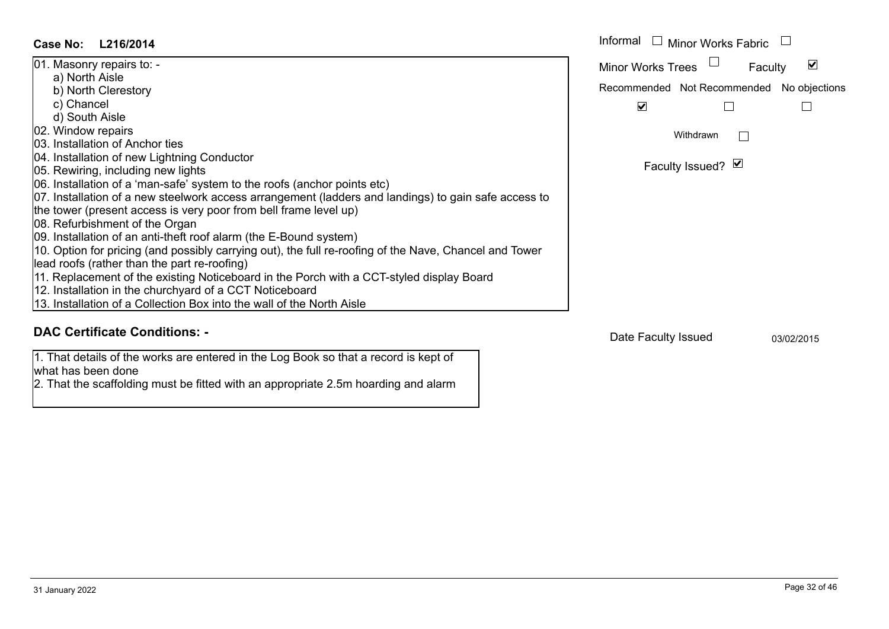| <b>Case No:</b><br>L216/2014                                                                           | Informal $\Box$<br>Minor Works Fabric     |
|--------------------------------------------------------------------------------------------------------|-------------------------------------------|
| 01. Masonry repairs to: -                                                                              | Minor Works Trees<br>V<br>Faculty         |
| a) North Aisle                                                                                         | Recommended Not Recommended No objections |
| b) North Clerestory                                                                                    |                                           |
| c) Chancel<br>d) South Aisle                                                                           | $\blacktriangledown$                      |
| 02. Window repairs                                                                                     |                                           |
| 03. Installation of Anchor ties                                                                        | Withdrawn                                 |
| 04. Installation of new Lightning Conductor                                                            |                                           |
| 05. Rewiring, including new lights                                                                     | Faculty Issued? Ø                         |
| 06. Installation of a 'man-safe' system to the roofs (anchor points etc)                               |                                           |
| 07. Installation of a new steelwork access arrangement (ladders and landings) to gain safe access to   |                                           |
| the tower (present access is very poor from bell frame level up)                                       |                                           |
| 08. Refurbishment of the Organ                                                                         |                                           |
| 09. Installation of an anti-theft roof alarm (the E-Bound system)                                      |                                           |
| 10. Option for pricing (and possibly carrying out), the full re-roofing of the Nave, Chancel and Tower |                                           |
| lead roofs (rather than the part re-roofing)                                                           |                                           |
| 11. Replacement of the existing Noticeboard in the Porch with a CCT-styled display Board               |                                           |
| 12. Installation in the churchyard of a CCT Noticeboard                                                |                                           |
| 13. Installation of a Collection Box into the wall of the North Aisle                                  |                                           |
| <b>DAC Certificate Conditions: -</b>                                                                   | Date Faculty Issued<br>03/02/2015         |

1. That details of the works are entered in the Log Book so that a record is kept of

2. That the scaffolding must be fitted with an appropriate 2.5m hoarding and alarm

what has been done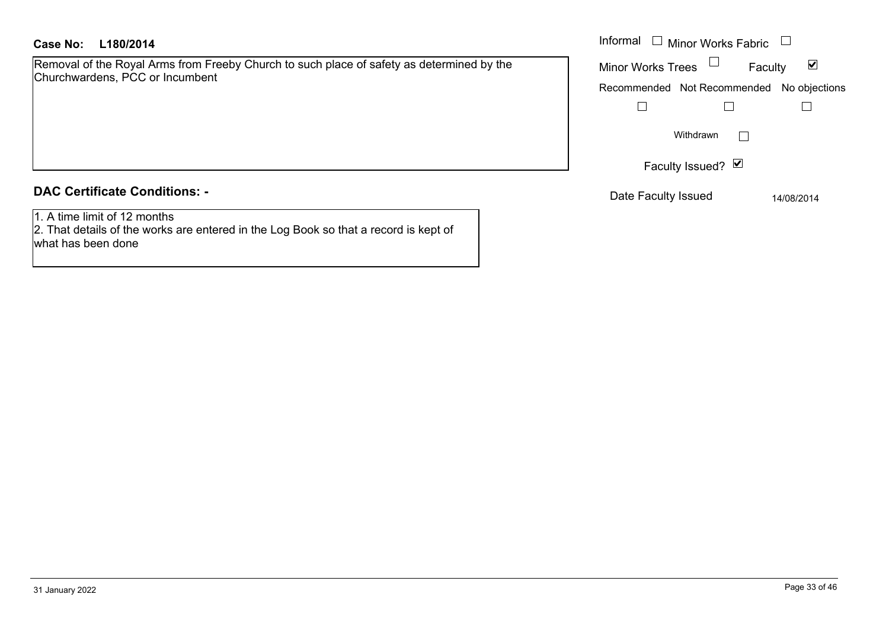## **L180/2014Case No:** Informal

Removal of the Royal Arms from Freeby Church to such place of safety as determined by the Churchwardens, PCC or Incumbent

### **DAC Certificate Conditions: -**

1. A time limit of 12 months

2. That details of the works are entered in the Log Book so that a record is kept of what has been done

| Informal<br><b>Minor Works Fabric</b> |                             |         |               |
|---------------------------------------|-----------------------------|---------|---------------|
|                                       | <b>Minor Works Trees</b>    | Faculty |               |
|                                       | Recommended Not Recommended |         | No objections |
|                                       |                             |         |               |
|                                       | Withdrawn                   |         |               |
|                                       | Faculty Issued? Ø           |         |               |
|                                       | Date Faculty Issued         |         | 14/08/2014    |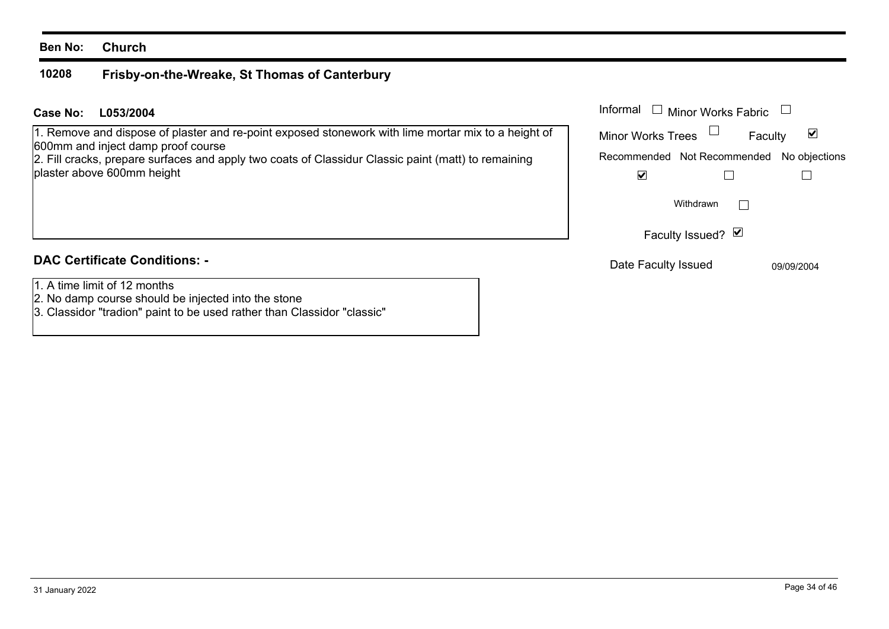#### **10208Frisby-on-the-Wreake, St Thomas of Canterbury**

# **L053/2004Case No:** Informal

1. Remove and dispose of plaster and re-point exposed stonework with lime mortar mix to a height of 600mm and inject damp proof course

2. Fill cracks, prepare surfaces and apply two coats of Classidur Classic paint (matt) to remaining plaster above 600mm height

# **DAC Certificate Conditions: -**

- 1. A time limit of 12 months
- 2. No damp course should be injected into the stone
- 3. Classidor "tradion" paint to be used rather than Classidor "classic"

| Informal<br>□ Minor Works Fabric          |         |                      |
|-------------------------------------------|---------|----------------------|
| <b>Minor Works Trees</b>                  | Faculty | $\blacktriangledown$ |
| Recommended Not Recommended No objections |         |                      |
|                                           |         |                      |
| Withdrawn                                 |         |                      |
| Faculty Issued? Ø                         |         |                      |
| $\mathbf{r}$ . The state $\mathbf{r}$     |         |                      |

Date Faculty Issued 09/09/2004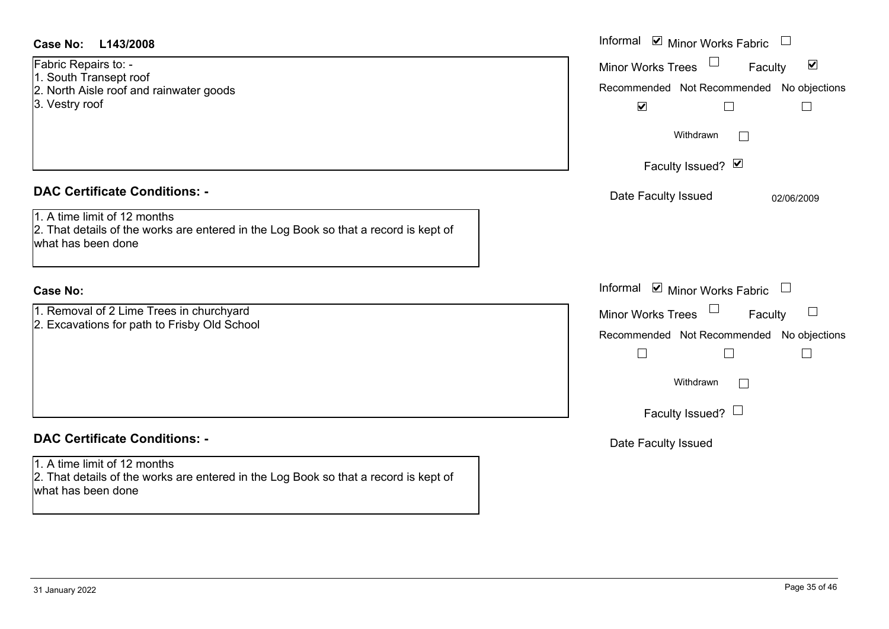| <b>Case No:</b><br>L143/2008                                                                                                               | Informal $\blacksquare$ Minor Works Fabric $\blacksquare$                                                                                                  |
|--------------------------------------------------------------------------------------------------------------------------------------------|------------------------------------------------------------------------------------------------------------------------------------------------------------|
| Fabric Repairs to: -<br>1. South Transept roof<br>2. North Aisle roof and rainwater goods<br>3. Vestry roof                                | Minor Works Trees <sup>1</sup><br>$\blacktriangledown$<br>Faculty<br>Recommended Not Recommended No objections<br>$\blacktriangledown$<br>$\Box$<br>$\Box$ |
|                                                                                                                                            | Withdrawn<br>$\Box$<br>Faculty Issued? Ø                                                                                                                   |
| <b>DAC Certificate Conditions: -</b>                                                                                                       | Date Faculty Issued<br>02/06/2009                                                                                                                          |
| 1. A time limit of 12 months<br>2. That details of the works are entered in the Log Book so that a record is kept of<br>what has been done |                                                                                                                                                            |
| <b>Case No:</b>                                                                                                                            | Informal <b>v</b> Minor Works Fabric<br>$\Box$                                                                                                             |
| 1. Removal of 2 Lime Trees in churchyard<br>2. Excavations for path to Frisby Old School                                                   | Minor Works Trees<br>Faculty<br>Recommended Not Recommended No objections<br>$\Box$<br>$\Box$<br>$\Box$<br>Withdrawn<br>$\Box$<br>Faculty Issued? $\Box$   |
| <b>DAC Certificate Conditions: -</b>                                                                                                       | Date Faculty Issued                                                                                                                                        |
| 1. A time limit of 12 months<br>2. That details of the works are entered in the Log Book so that a record is kept of<br>what has been done |                                                                                                                                                            |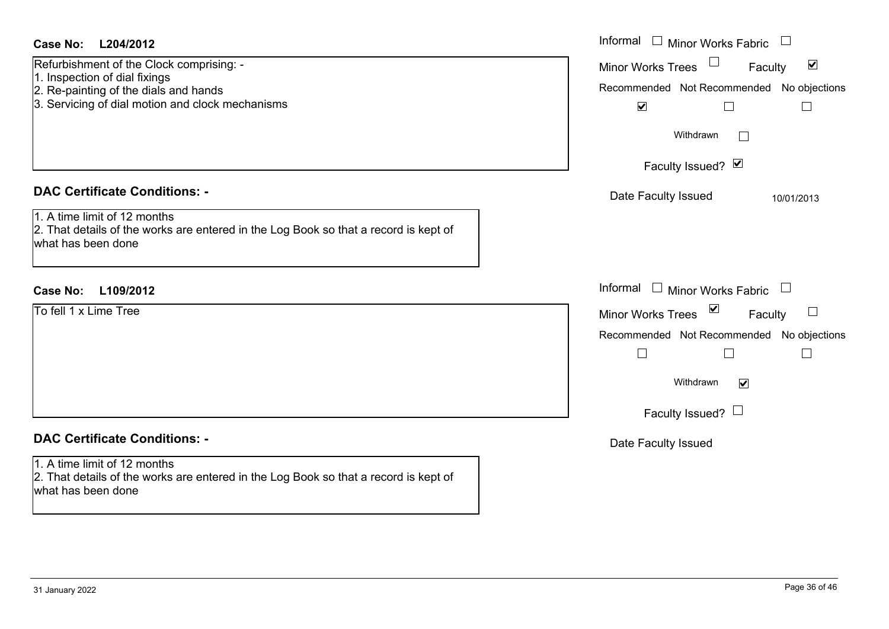| Refurbishment of the Clock comprising: -<br>1. Inspection of dial fixings<br>2. Re-painting of the dials and hands<br>3. Servicing of dial motion and clock mechanisms | Minor Works Trees <sup>1</sup><br>$\blacktriangledown$<br>Faculty<br>Recommended Not Recommended No objections<br>$\blacktriangledown$<br>$\Box$ |
|------------------------------------------------------------------------------------------------------------------------------------------------------------------------|--------------------------------------------------------------------------------------------------------------------------------------------------|
|                                                                                                                                                                        | Withdrawn<br>$\Box$<br>Faculty Issued? Ø                                                                                                         |
| <b>DAC Certificate Conditions: -</b>                                                                                                                                   | Date Faculty Issued<br>10/01/2013                                                                                                                |
| 1. A time limit of 12 months<br>2. That details of the works are entered in the Log Book so that a record is kept of<br>what has been done                             |                                                                                                                                                  |
| L109/2012<br>Case No:                                                                                                                                                  | Informal $\Box$ Minor Works Fabric $\Box$                                                                                                        |
| To fell 1 x Lime Tree                                                                                                                                                  | Minor Works Trees ⊠<br>Faculty<br>$\Box$                                                                                                         |
|                                                                                                                                                                        | Recommended Not Recommended No objections<br>$\Box$<br>$\Box$<br>Withdrawn<br>$\blacktriangledown$                                               |
|                                                                                                                                                                        | Faculty Issued? $\Box$                                                                                                                           |
| <b>DAC Certificate Conditions: -</b><br>1. A time limit of 12 months<br>2. That details of the works are entered in the Log Book so that a record is kept of           | Date Faculty Issued                                                                                                                              |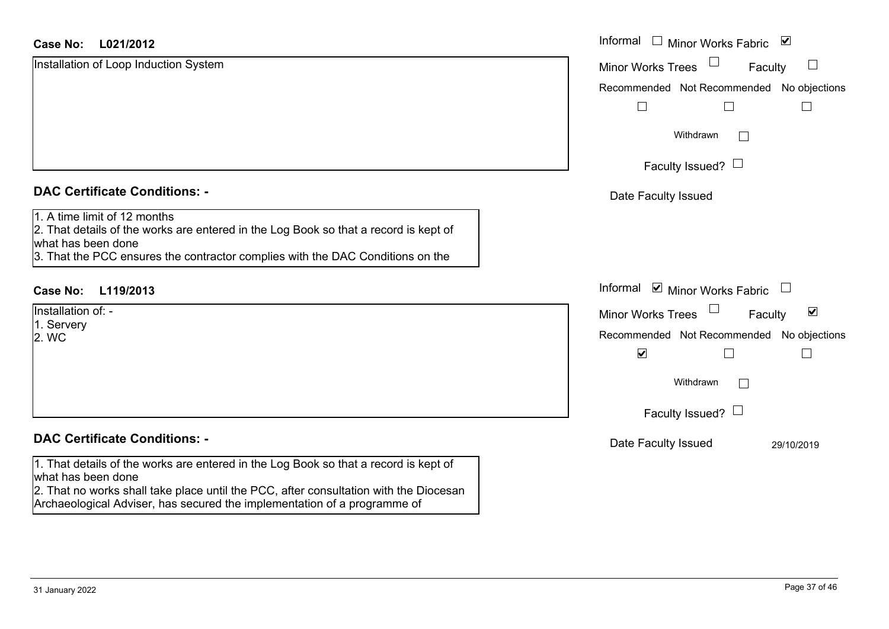| <b>Case No:</b><br>L021/2012                                                                                                                                                                                                 | Informal<br>□ Minor Works Fabric                            |
|------------------------------------------------------------------------------------------------------------------------------------------------------------------------------------------------------------------------------|-------------------------------------------------------------|
| Installation of Loop Induction System                                                                                                                                                                                        | <b>Minor Works Trees</b><br>Faculty                         |
|                                                                                                                                                                                                                              | Recommended Not Recommended No objections                   |
|                                                                                                                                                                                                                              |                                                             |
|                                                                                                                                                                                                                              | Withdrawn<br>$\mathbb{R}^n$                                 |
|                                                                                                                                                                                                                              | Faculty Issued? $\Box$                                      |
| <b>DAC Certificate Conditions: -</b>                                                                                                                                                                                         | Date Faculty Issued                                         |
| 1. A time limit of 12 months<br>2. That details of the works are entered in the Log Book so that a record is kept of<br>what has been done<br>3. That the PCC ensures the contractor complies with the DAC Conditions on the |                                                             |
| <b>Case No:</b><br>L119/2013                                                                                                                                                                                                 | Informal ☑ Minor Works Fabric<br>$\Box$                     |
| Installation of: -                                                                                                                                                                                                           | $\blacktriangledown$<br>Faculty<br><b>Minor Works Trees</b> |
| 1. Servery<br>2. WC                                                                                                                                                                                                          | Recommended Not Recommended No objections                   |
|                                                                                                                                                                                                                              | $\blacktriangledown$<br>$\mathbf{L}$                        |
|                                                                                                                                                                                                                              | Withdrawn<br>$\mathbf{L}$                                   |
|                                                                                                                                                                                                                              | Faculty Issued? $\Box$                                      |
| <b>DAC Certificate Conditions: -</b>                                                                                                                                                                                         | Date Faculty Issued<br>29/10/2019                           |
| 1. That details of the works are entered in the Log Book so that a record is kept of<br>what has been done                                                                                                                   |                                                             |
| 2. That no works shall take place until the PCC, after consultation with the Diocesan<br>Archaeological Adviser, has secured the implementation of a programme of                                                            |                                                             |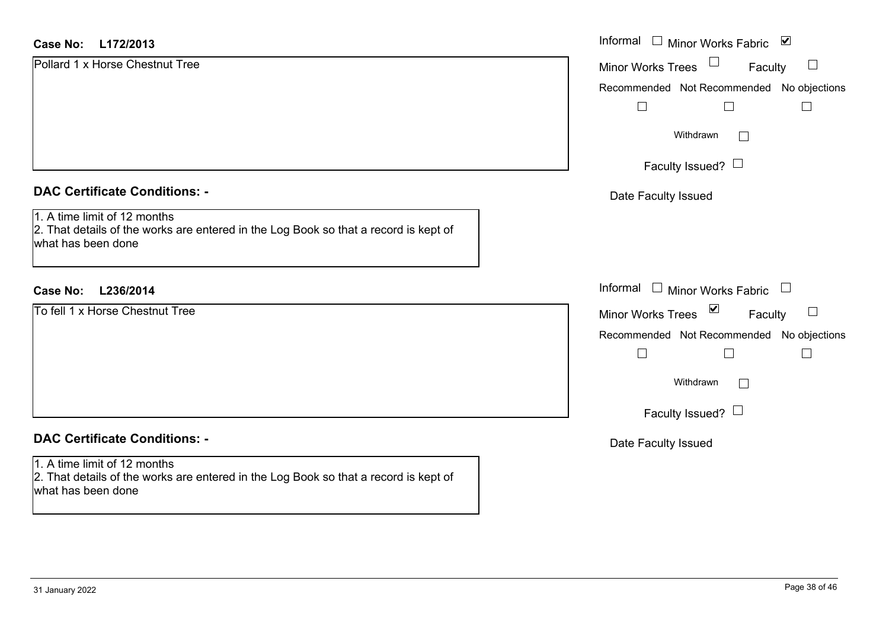| <b>Case No:</b><br>L172/2013                                                                                                               | Informal □ Minor Works Fabric<br>$\blacktriangledown$ |
|--------------------------------------------------------------------------------------------------------------------------------------------|-------------------------------------------------------|
| Pollard 1 x Horse Chestnut Tree                                                                                                            | Minor Works Trees<br>$\Box$<br>Faculty                |
|                                                                                                                                            | Recommended Not Recommended No objections             |
|                                                                                                                                            | $\perp$                                               |
|                                                                                                                                            | Withdrawn<br>$\vert$ $\vert$                          |
|                                                                                                                                            | Faculty Issued? $\Box$                                |
| <b>DAC Certificate Conditions: -</b>                                                                                                       | Date Faculty Issued                                   |
| 1. A time limit of 12 months<br>2. That details of the works are entered in the Log Book so that a record is kept of<br>what has been done |                                                       |
| L236/2014<br><b>Case No:</b>                                                                                                               | Informal □ Minor Works Fabric                         |
| To fell 1 x Horse Chestnut Tree                                                                                                            | Minor Works Trees ⊠<br>Faculty                        |
|                                                                                                                                            | Recommended Not Recommended No objections             |
|                                                                                                                                            | $\Box$                                                |
|                                                                                                                                            | Withdrawn<br>$\perp$                                  |
|                                                                                                                                            | Faculty Issued? $\Box$                                |
| <b>DAC Certificate Conditions: -</b>                                                                                                       | Date Faculty Issued                                   |
| 1. A time limit of 12 months<br>2. That details of the works are entered in the Log Book so that a record is kept of<br>what has been done |                                                       |
|                                                                                                                                            |                                                       |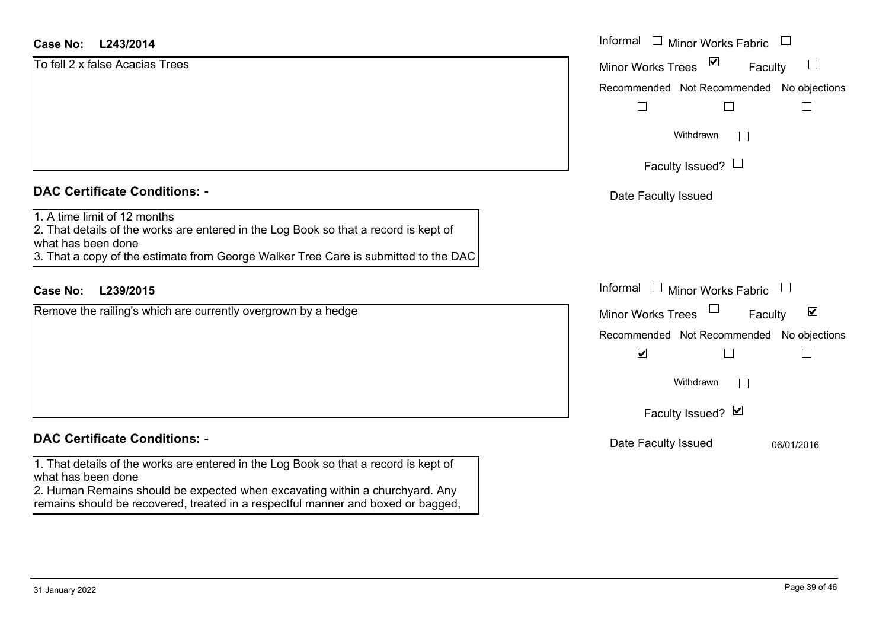#### **L243/2014Case No:**

| <b>Case No:</b><br>L243/2014                                                                                                                                                                                                      | Informal □ Minor Works Fabric                               |
|-----------------------------------------------------------------------------------------------------------------------------------------------------------------------------------------------------------------------------------|-------------------------------------------------------------|
| To fell 2 x false Acacias Trees                                                                                                                                                                                                   | $\blacktriangledown$<br><b>Minor Works Trees</b><br>Faculty |
|                                                                                                                                                                                                                                   | Recommended Not Recommended No objections                   |
|                                                                                                                                                                                                                                   |                                                             |
|                                                                                                                                                                                                                                   | Withdrawn<br>$\perp$                                        |
|                                                                                                                                                                                                                                   | Faculty Issued? $\Box$                                      |
| <b>DAC Certificate Conditions: -</b>                                                                                                                                                                                              | Date Faculty Issued                                         |
| 1. A time limit of 12 months<br>2. That details of the works are entered in the Log Book so that a record is kept of<br>what has been done<br>3. That a copy of the estimate from George Walker Tree Care is submitted to the DAC |                                                             |
| L239/2015<br><b>Case No:</b>                                                                                                                                                                                                      | Informal $\Box$ Minor Works Fabric<br>$\Box$                |
| Remove the railing's which are currently overgrown by a hedge                                                                                                                                                                     | $\blacktriangledown$<br><b>Minor Works Trees</b><br>Faculty |
|                                                                                                                                                                                                                                   | Recommended Not Recommended No objections                   |
|                                                                                                                                                                                                                                   | $\blacktriangledown$                                        |
|                                                                                                                                                                                                                                   | Withdrawn                                                   |
|                                                                                                                                                                                                                                   | Faculty Issued? Ø                                           |
| <b>DAC Certificate Conditions: -</b>                                                                                                                                                                                              | Date Faculty Issued<br>06/01/2016                           |
| 1. That details of the works are entered in the Log Book so that a record is kept of<br>what has been done<br>2. Human Remains should be expected when excavating within a churchyard. Any                                        |                                                             |

remains should be recovered, treated in a respectful manner and boxed or bagged,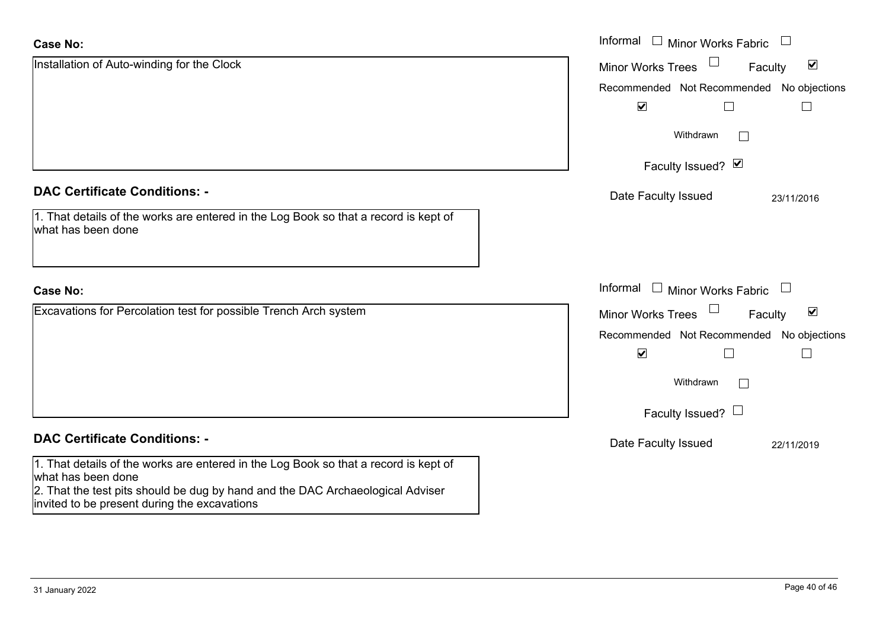| <b>Case No:</b>                                                                                                                                                                                                                              | Informal $\quad \Box$ Minor Works Fabric                    |
|----------------------------------------------------------------------------------------------------------------------------------------------------------------------------------------------------------------------------------------------|-------------------------------------------------------------|
| Installation of Auto-winding for the Clock                                                                                                                                                                                                   | $\blacktriangledown$<br><b>Minor Works Trees</b><br>Faculty |
|                                                                                                                                                                                                                                              | Recommended Not Recommended No objections                   |
|                                                                                                                                                                                                                                              | $\blacktriangledown$                                        |
|                                                                                                                                                                                                                                              | Withdrawn                                                   |
|                                                                                                                                                                                                                                              | Faculty Issued? Ø                                           |
| <b>DAC Certificate Conditions: -</b>                                                                                                                                                                                                         | Date Faculty Issued<br>23/11/2016                           |
| 1. That details of the works are entered in the Log Book so that a record is kept of<br>what has been done                                                                                                                                   |                                                             |
| <b>Case No:</b>                                                                                                                                                                                                                              | Informal<br>$\Box$ Minor Works Fabric $\Box$                |
| Excavations for Percolation test for possible Trench Arch system                                                                                                                                                                             | $\blacktriangledown$<br><b>Minor Works Trees</b><br>Faculty |
|                                                                                                                                                                                                                                              | Recommended Not Recommended No objections                   |
|                                                                                                                                                                                                                                              | $\blacktriangledown$                                        |
|                                                                                                                                                                                                                                              | Withdrawn                                                   |
|                                                                                                                                                                                                                                              | Faculty Issued? $\Box$                                      |
| <b>DAC Certificate Conditions: -</b>                                                                                                                                                                                                         | Date Faculty Issued<br>22/11/2019                           |
| 1. That details of the works are entered in the Log Book so that a record is kept of<br>what has been done<br>2. That the test pits should be dug by hand and the DAC Archaeological Adviser<br>invited to be present during the excavations |                                                             |

 $\sim$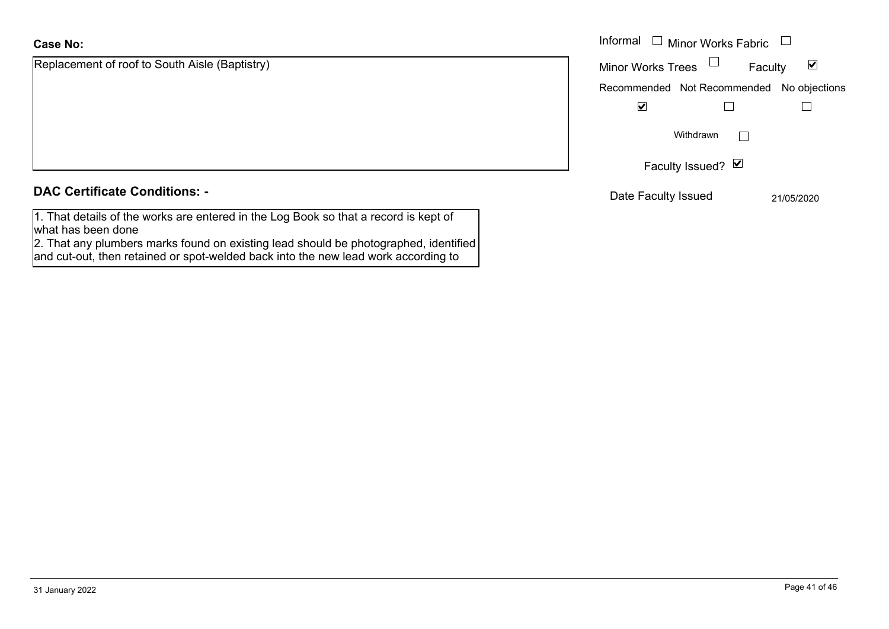# **Case No:**

| Replacement of roof to South Aisle (Baptistry)                                       |  |
|--------------------------------------------------------------------------------------|--|
|                                                                                      |  |
|                                                                                      |  |
|                                                                                      |  |
|                                                                                      |  |
|                                                                                      |  |
|                                                                                      |  |
|                                                                                      |  |
| <b>DAC Certificate Conditions: -</b>                                                 |  |
|                                                                                      |  |
| 1. That details of the works are entered in the Log Book so that a record is kept of |  |

what has been done 2. That any plumbers marks found on existing lead should be photographed, identified and cut-out, then retained or spot-welded back into the new lead work according to

|                                         | Informal<br>$\Box$ Minor Works Fabric $\Box$ |                      |
|-----------------------------------------|----------------------------------------------|----------------------|
| nent of roof to South Aisle (Baptistry) | Minor Works Trees $\Box$<br>Faculty          | $\blacktriangledown$ |
|                                         | Recommended Not Recommended No objections    |                      |
|                                         | $\blacktriangledown$                         |                      |
|                                         | Withdrawn                                    |                      |
|                                         | Faculty Issued? $\Box$                       |                      |
| rtificate Conditions: -                 | Date Faculty Issued                          | 21/05/2020           |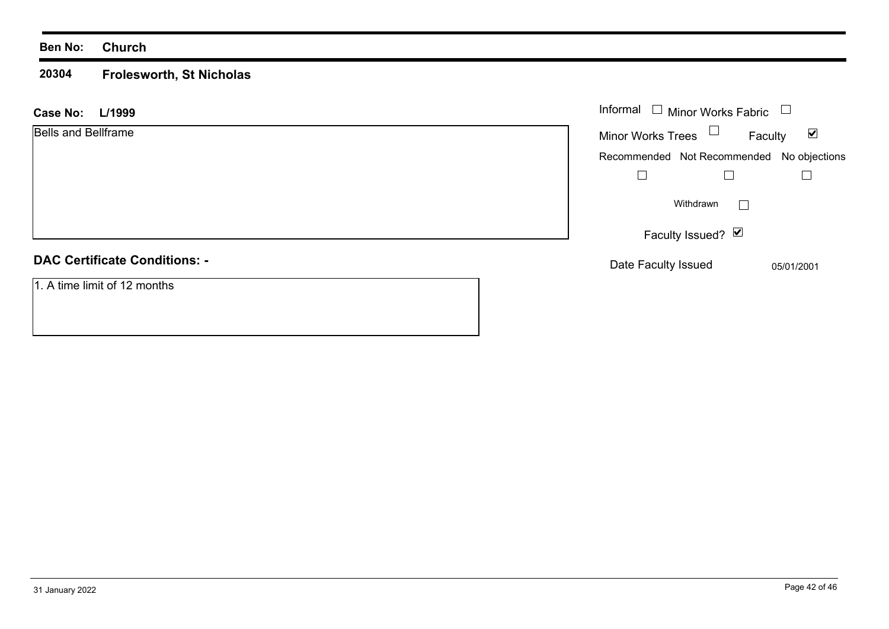#### **20304 Frolesworth, St Nicholas**

| L/1999<br><b>Case No:</b>            | Informal $\Box$ Minor Works Fabric                          |
|--------------------------------------|-------------------------------------------------------------|
| <b>Bells and Bellframe</b>           | Minor Works Trees $\Box$<br>$\blacktriangledown$<br>Faculty |
|                                      | Recommended Not Recommended No objections                   |
|                                      |                                                             |
|                                      | Withdrawn                                                   |
|                                      | Faculty Issued? Ø                                           |
| <b>DAC Certificate Conditions: -</b> | Date Faculty Issued<br>05/01/2001                           |
| 1. A time limit of 12 months         |                                                             |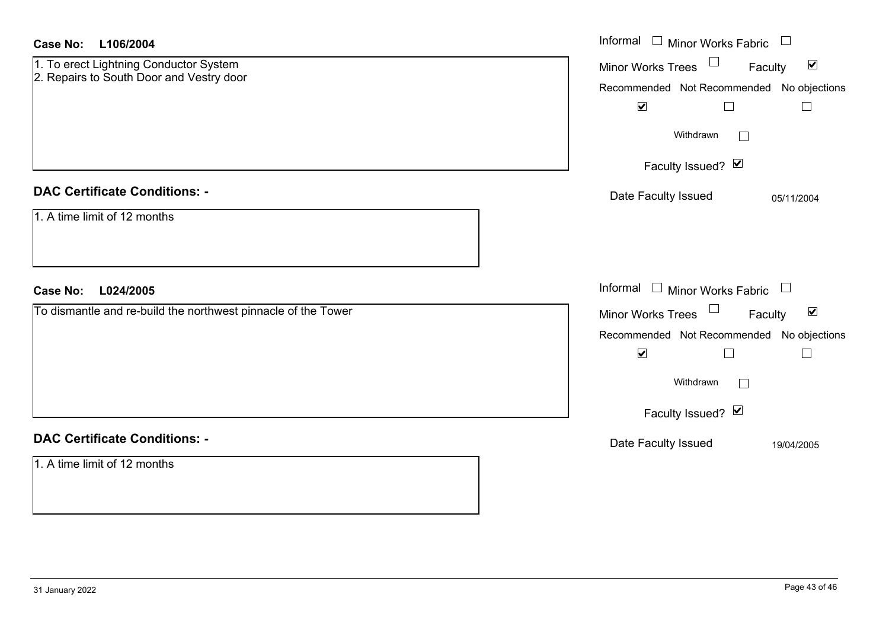| <b>Case No:</b><br>L106/2004                                                       | Informal $\Box$ Minor Works Fabric $\Box$                                                                                                                               |
|------------------------------------------------------------------------------------|-------------------------------------------------------------------------------------------------------------------------------------------------------------------------|
| 1. To erect Lightning Conductor System<br>2. Repairs to South Door and Vestry door | Minor Works Trees $\Box$<br>$\blacktriangledown$<br>Faculty<br>Recommended Not Recommended No objections<br>$\blacktriangledown$<br>⊔<br>Withdrawn<br>Faculty Issued? Ø |
| <b>DAC Certificate Conditions: -</b>                                               | Date Faculty Issued<br>05/11/2004                                                                                                                                       |
| 1. A time limit of 12 months<br><b>Case No:</b><br>L024/2005                       | Informal $\Box$ Minor Works Fabric $\Box$                                                                                                                               |
| To dismantle and re-build the northwest pinnacle of the Tower                      | Minor Works Trees<br>$\blacktriangledown$<br>Faculty                                                                                                                    |
|                                                                                    | Recommended Not Recommended No objections<br>$\blacktriangledown$<br>П<br>Withdrawn<br>Faculty Issued? Ø                                                                |
| <b>DAC Certificate Conditions: -</b>                                               | Date Faculty Issued<br>19/04/2005                                                                                                                                       |
| 1. A time limit of 12 months                                                       |                                                                                                                                                                         |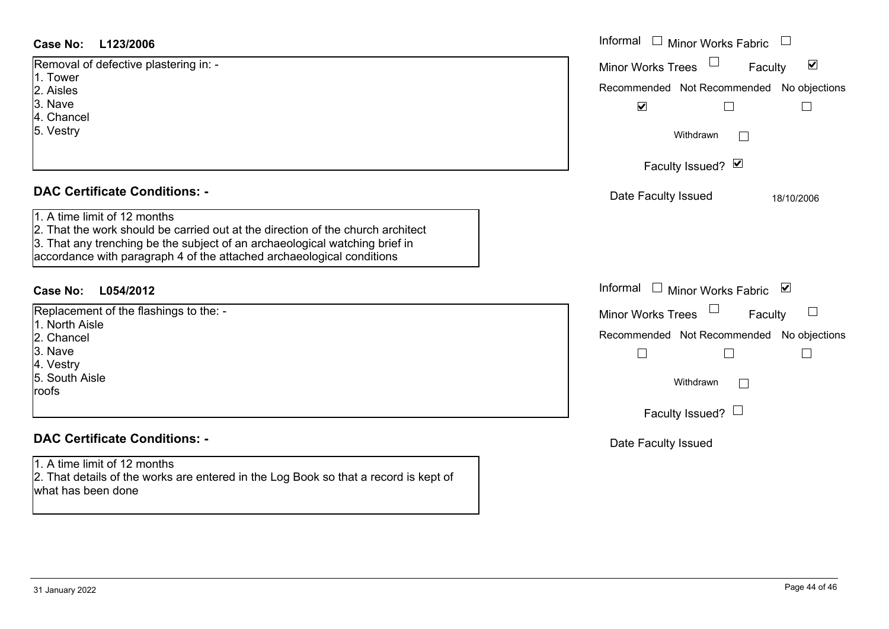| <b>Case No:</b><br>L123/2006                                                                                                                                                                                                                                            | Informal<br>Minor Works Fabric                              |
|-------------------------------------------------------------------------------------------------------------------------------------------------------------------------------------------------------------------------------------------------------------------------|-------------------------------------------------------------|
| Removal of defective plastering in: -                                                                                                                                                                                                                                   | $\blacktriangledown$<br><b>Minor Works Trees</b><br>Faculty |
| 1. Tower<br>2. Aisles                                                                                                                                                                                                                                                   | Recommended Not Recommended No objections                   |
| 3. Nave                                                                                                                                                                                                                                                                 | $\blacktriangledown$                                        |
| 4. Chancel                                                                                                                                                                                                                                                              |                                                             |
| 5. Vestry                                                                                                                                                                                                                                                               | Withdrawn<br>$\mathbb{R}^n$                                 |
|                                                                                                                                                                                                                                                                         | Faculty Issued? Ø                                           |
| <b>DAC Certificate Conditions: -</b>                                                                                                                                                                                                                                    | Date Faculty Issued<br>18/10/2006                           |
| 1. A time limit of 12 months<br>2. That the work should be carried out at the direction of the church architect<br>3. That any trenching be the subject of an archaeological watching brief in<br>accordance with paragraph 4 of the attached archaeological conditions |                                                             |
| L054/2012<br><b>Case No:</b>                                                                                                                                                                                                                                            | Informal<br>Minor Works Fabric ⊠                            |
| Replacement of the flashings to the: -                                                                                                                                                                                                                                  | $\sqcup$<br><b>Minor Works Trees</b><br>Faculty             |
| 1. North Aisle<br>2. Chancel                                                                                                                                                                                                                                            | Recommended Not Recommended No objections                   |
| 3. Nave                                                                                                                                                                                                                                                                 |                                                             |
| 4. Vestry                                                                                                                                                                                                                                                               |                                                             |
| 5. South Aisle                                                                                                                                                                                                                                                          | Withdrawn<br>$\Box$                                         |
| roofs                                                                                                                                                                                                                                                                   |                                                             |
|                                                                                                                                                                                                                                                                         | Faculty Issued? $\Box$                                      |
| <b>DAC Certificate Conditions: -</b>                                                                                                                                                                                                                                    | Date Faculty Issued                                         |
| 1. A time limit of 12 months<br>2. That details of the works are entered in the Log Book so that a record is kept of<br>what has been done                                                                                                                              |                                                             |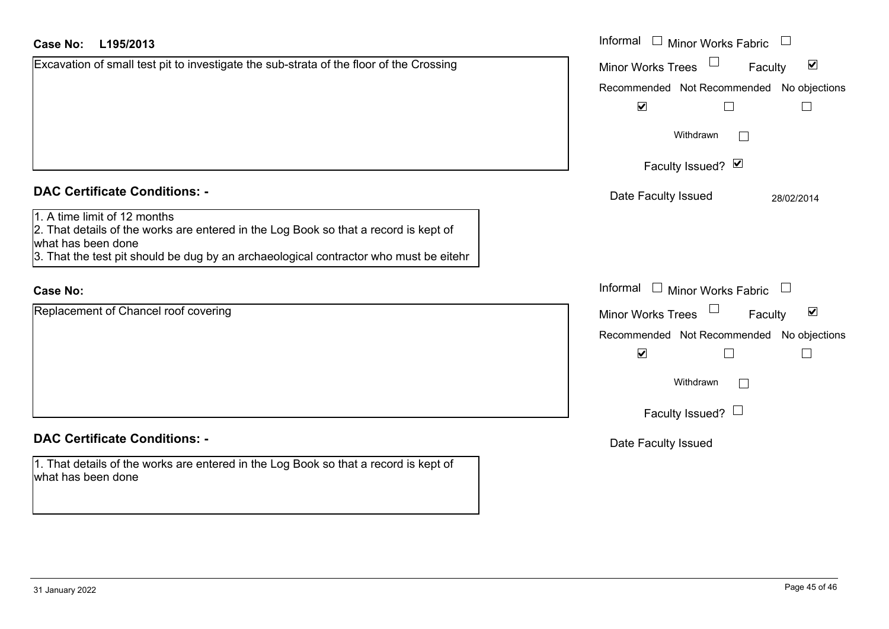# **L195/2013Case No:** Informal

| Excavation of small test pit to investigate the sub-strata of the floor of the Crossing |  |
|-----------------------------------------------------------------------------------------|--|
|                                                                                         |  |
|                                                                                         |  |
|                                                                                         |  |
|                                                                                         |  |
|                                                                                         |  |
|                                                                                         |  |
|                                                                                         |  |
|                                                                                         |  |

## **DAC Certificate Conditions: -**

1. A time limit of 12 months

2. That details of the works are entered in the Log Book so that a record is kept of what has been done

3. That the test pit should be dug by an archaeological contractor who must be eitehr

# **Case No:**

Replacement of Chancel roof covering

# **DAC Certificate Conditions: -**

1. That details of the works are entered in the Log Book so that a record is kept of what has been done

| L195/2013                                                                                                                                                                                     | Informal<br>$\Box$<br><b>Minor Works Fabric</b>                                                                                                                               |  |
|-----------------------------------------------------------------------------------------------------------------------------------------------------------------------------------------------|-------------------------------------------------------------------------------------------------------------------------------------------------------------------------------|--|
| on of small test pit to investigate the sub-strata of the floor of the Crossing                                                                                                               | $\blacktriangledown$<br><b>Minor Works Trees</b><br>Faculty<br>Recommended Not Recommended No objections                                                                      |  |
|                                                                                                                                                                                               | $\blacktriangledown$<br>Withdrawn<br>Faculty Issued? Ø                                                                                                                        |  |
| rtificate Conditions: -                                                                                                                                                                       | Date Faculty Issued<br>28/02/2014                                                                                                                                             |  |
| limit of 12 months<br>etails of the works are entered in the Log Book so that a record is kept of<br>been done<br>e test pit should be dug by an archaeological contractor who must be eitehr |                                                                                                                                                                               |  |
|                                                                                                                                                                                               | Informal $\Box$ Minor Works Fabric<br>$\Box$                                                                                                                                  |  |
| nent of Chancel roof covering                                                                                                                                                                 | $\blacktriangledown$<br>Minor Works Trees<br>Faculty<br>No objections<br>Recommended Not Recommended<br>$\blacktriangledown$<br>Withdrawn<br>$\Box$<br>Faculty Issued? $\Box$ |  |
| rtificate Conditions: -                                                                                                                                                                       | Date Faculty Issued                                                                                                                                                           |  |